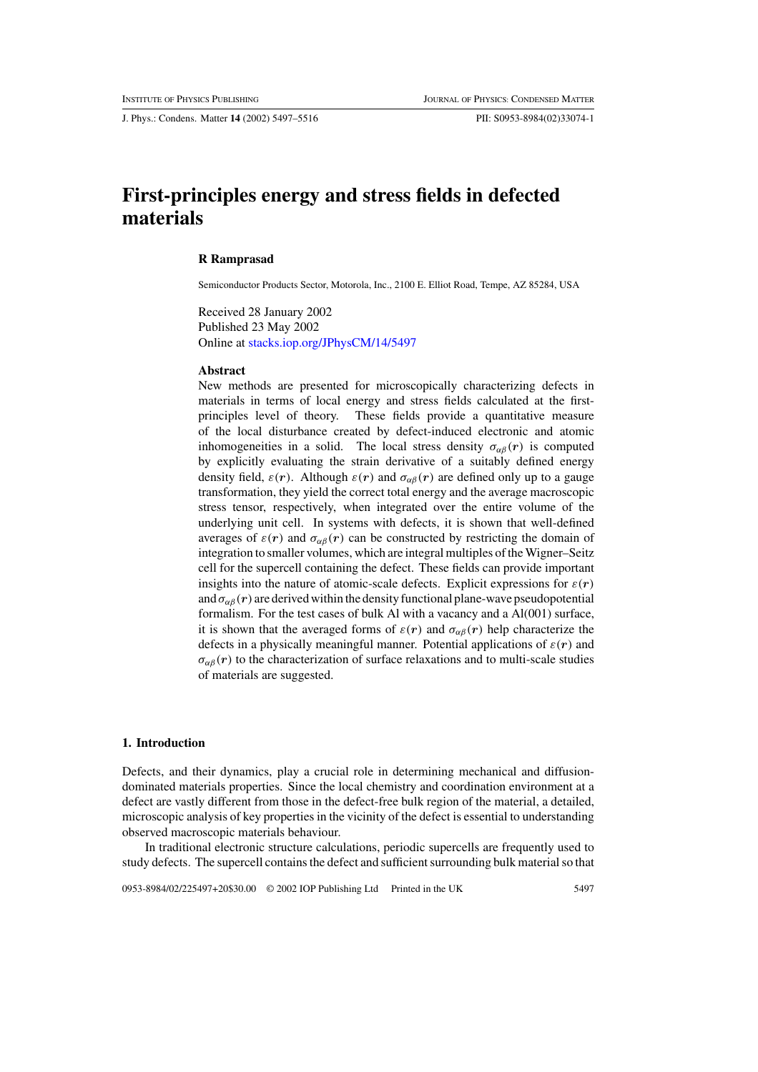J. Phys.: Condens. Matter **14** (2002) 5497–5516 PII: S0953-8984(02)33074-1

# **First-principles energy and stress fields in defected materials**

# **R Ramprasad**

Semiconductor Products Sector, Motorola, Inc., 2100 E. Elliot Road, Tempe, AZ 85284, USA

Received 28 January 2002 Published 23 May 2002 Online at [stacks.iop.org/JPhysCM/14/5497](http://stacks.iop.org/cm/14/5497)

### **Abstract**

New methods are presented for microscopically characterizing defects in materials in terms of local energy and stress fields calculated at the firstprinciples level of theory. These fields provide a quantitative measure of the local disturbance created by defect-induced electronic and atomic inhomogeneities in a solid. The local stress density  $\sigma_{\alpha\beta}(r)$  is computed by explicitly evaluating the strain derivative of a suitably defined energy density field,  $\varepsilon(r)$ . Although  $\varepsilon(r)$  and  $\sigma_{\alpha\beta}(r)$  are defined only up to a gauge transformation, they yield the correct total energy and the average macroscopic stress tensor, respectively, when integrated over the entire volume of the underlying unit cell. In systems with defects, it is shown that well-defined averages of  $\varepsilon(r)$  and  $\sigma_{\alpha\beta}(r)$  can be constructed by restricting the domain of integration to smaller volumes, which are integral multiples of the Wigner–Seitz cell for the supercell containing the defect. These fields can provide important insights into the nature of atomic-scale defects. Explicit expressions for  $\varepsilon(r)$ and  $\sigma_{\alpha\beta}(r)$  are derived within the density functional plane-wave pseudopotential formalism. For the test cases of bulk Al with a vacancy and a Al(001) surface, it is shown that the averaged forms of  $\varepsilon(r)$  and  $\sigma_{\alpha\beta}(r)$  help characterize the defects in a physically meaningful manner. Potential applications of *ε(r)* and  $\sigma_{\alpha\beta}(r)$  to the characterization of surface relaxations and to multi-scale studies of materials are suggested.

# **1. Introduction**

Defects, and their dynamics, play a crucial role in determining mechanical and diffusiondominated materials properties. Since the local chemistry and coordination environment at a defect are vastly different from those in the defect-free bulk region of the material, a detailed, microscopic analysis of key properties in the vicinity of the defect is essential to understanding observed macroscopic materials behaviour.

In traditional electronic structure calculations, periodic supercells are frequently used to study defects. The supercell contains the defect and sufficient surrounding bulk material so that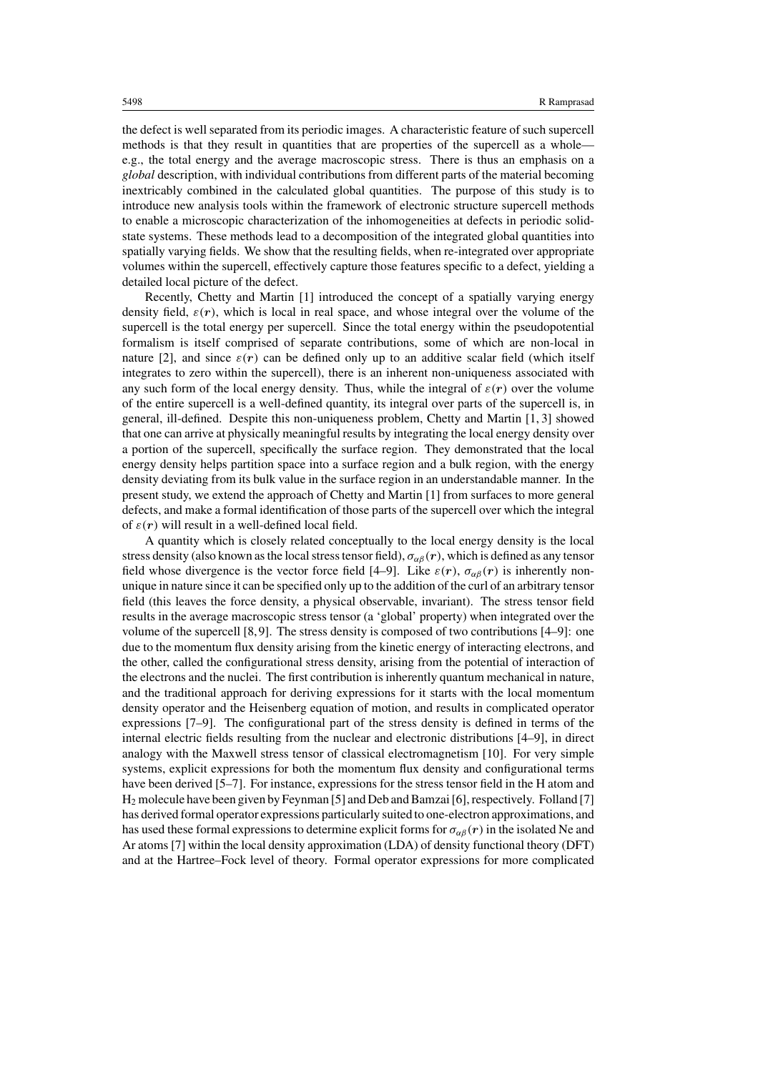the defect is well separated from its periodic images. A characteristic feature of such supercell methods is that they result in quantities that are properties of the supercell as a whole e.g., the total energy and the average macroscopic stress. There is thus an emphasis on a *global* description, with individual contributions from different parts of the material becoming inextricably combined in the calculated global quantities. The purpose of this study is to introduce new analysis tools within the framework of electronic structure supercell methods to enable a microscopic characterization of the inhomogeneities at defects in periodic solidstate systems. These methods lead to a decomposition of the integrated global quantities into spatially varying fields. We show that the resulting fields, when re-integrated over appropriate volumes within the supercell, effectively capture those features specific to a defect, yielding a detailed local picture of the defect.

Recently, Chetty and Martin [1] introduced the concept of a spatially varying energy density field,  $\varepsilon(r)$ , which is local in real space, and whose integral over the volume of the supercell is the total energy per supercell. Since the total energy within the pseudopotential formalism is itself comprised of separate contributions, some of which are non-local in nature [2], and since  $\varepsilon(r)$  can be defined only up to an additive scalar field (which itself integrates to zero within the supercell), there is an inherent non-uniqueness associated with any such form of the local energy density. Thus, while the integral of  $\varepsilon(r)$  over the volume of the entire supercell is a well-defined quantity, its integral over parts of the supercell is, in general, ill-defined. Despite this non-uniqueness problem, Chetty and Martin [1, 3] showed that one can arrive at physically meaningful results by integrating the local energy density over a portion of the supercell, specifically the surface region. They demonstrated that the local energy density helps partition space into a surface region and a bulk region, with the energy density deviating from its bulk value in the surface region in an understandable manner. In the present study, we extend the approach of Chetty and Martin [1] from surfaces to more general defects, and make a formal identification of those parts of the supercell over which the integral of  $\varepsilon(r)$  will result in a well-defined local field.

A quantity which is closely related conceptually to the local energy density is the local stress density (also known as the local stress tensor field),  $\sigma_{\alpha\beta}(r)$ , which is defined as any tensor field whose divergence is the vector force field [4–9]. Like  $\varepsilon(r)$ ,  $\sigma_{\alpha\beta}(r)$  is inherently nonunique in nature since it can be specified only up to the addition of the curl of an arbitrary tensor field (this leaves the force density, a physical observable, invariant). The stress tensor field results in the average macroscopic stress tensor (a 'global' property) when integrated over the volume of the supercell [8,9]. The stress density is composed of two contributions [4–9]: one due to the momentum flux density arising from the kinetic energy of interacting electrons, and the other, called the configurational stress density, arising from the potential of interaction of the electrons and the nuclei. The first contribution is inherently quantum mechanical in nature, and the traditional approach for deriving expressions for it starts with the local momentum density operator and the Heisenberg equation of motion, and results in complicated operator expressions [7–9]. The configurational part of the stress density is defined in terms of the internal electric fields resulting from the nuclear and electronic distributions [4–9], in direct analogy with the Maxwell stress tensor of classical electromagnetism [10]. For very simple systems, explicit expressions for both the momentum flux density and configurational terms have been derived [5–7]. For instance, expressions for the stress tensor field in the H atom and H2 molecule have been given by Feynman [5] and Deb and Bamzai [6], respectively. Folland [7] has derived formal operator expressions particularly suited to one-electron approximations, and has used these formal expressions to determine explicit forms for  $\sigma_{\alpha\beta}(r)$  in the isolated Ne and Ar atoms [7] within the local density approximation (LDA) of density functional theory (DFT) and at the Hartree–Fock level of theory. Formal operator expressions for more complicated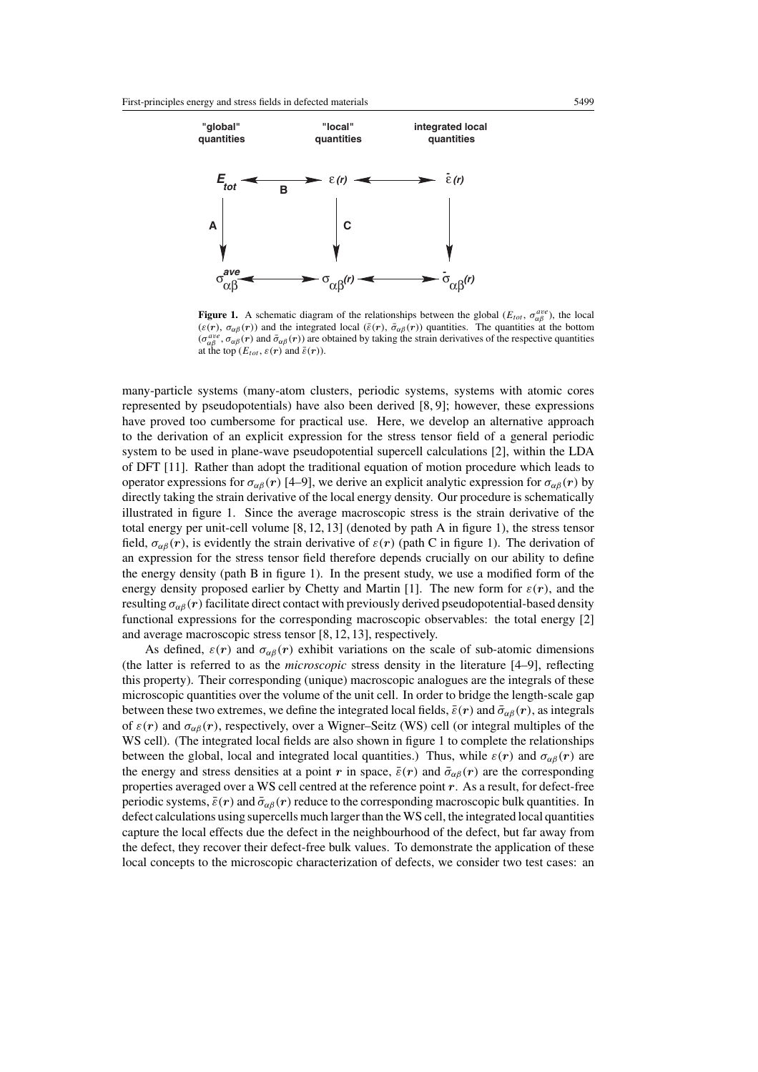

**Figure 1.** A schematic diagram of the relationships between the global ( $E_{tot}$ ,  $\sigma_{\alpha\beta}^{ave}$ ), the local  $(\varepsilon(r), \sigma_{\alpha\beta}(r))$  and the integrated local  $(\bar{\varepsilon}(r), \bar{\sigma}_{\alpha\beta}(r))$  quantities. The quantities at the bottom  $(\sigma^a)$  $\sigma_{\alpha\beta}(r)$  and  $\bar{\sigma}_{\alpha\beta}(r)$ ) are obtained by taking the strain derivatives of the respective quantities at the top  $(E_{tot}, \varepsilon(r)$  and  $\bar{\varepsilon}(r)$ ).

many-particle systems (many-atom clusters, periodic systems, systems with atomic cores represented by pseudopotentials) have also been derived [8, 9]; however, these expressions have proved too cumbersome for practical use. Here, we develop an alternative approach to the derivation of an explicit expression for the stress tensor field of a general periodic system to be used in plane-wave pseudopotential supercell calculations [2], within the LDA of DFT [11]. Rather than adopt the traditional equation of motion procedure which leads to operator expressions for  $\sigma_{\alpha\beta}(r)$  [4–9], we derive an explicit analytic expression for  $\sigma_{\alpha\beta}(r)$  by directly taking the strain derivative of the local energy density. Our procedure is schematically illustrated in figure 1. Since the average macroscopic stress is the strain derivative of the total energy per unit-cell volume [8, 12, 13] (denoted by path A in figure 1), the stress tensor field,  $\sigma_{\alpha\beta}(r)$ , is evidently the strain derivative of  $\varepsilon(r)$  (path C in figure 1). The derivation of an expression for the stress tensor field therefore depends crucially on our ability to define the energy density (path B in figure 1). In the present study, we use a modified form of the energy density proposed earlier by Chetty and Martin [1]. The new form for  $\varepsilon(r)$ , and the resulting  $\sigma_{\alpha\beta}(r)$  facilitate direct contact with previously derived pseudopotential-based density functional expressions for the corresponding macroscopic observables: the total energy [2] and average macroscopic stress tensor [8, 12, 13], respectively.

As defined,  $\varepsilon(r)$  and  $\sigma_{\alpha\beta}(r)$  exhibit variations on the scale of sub-atomic dimensions (the latter is referred to as the *microscopic* stress density in the literature [4–9], reflecting this property). Their corresponding (unique) macroscopic analogues are the integrals of these microscopic quantities over the volume of the unit cell. In order to bridge the length-scale gap between these two extremes, we define the integrated local fields,  $\bar{\varepsilon}(r)$  and  $\bar{\sigma}_{\alpha\beta}(r)$ , as integrals of  $\varepsilon(r)$  and  $\sigma_{\alpha\beta}(r)$ , respectively, over a Wigner–Seitz (WS) cell (or integral multiples of the WS cell). (The integrated local fields are also shown in figure 1 to complete the relationships between the global, local and integrated local quantities.) Thus, while  $\varepsilon(r)$  and  $\sigma_{\alpha\beta}(r)$  are the energy and stress densities at a point *r* in space,  $\bar{\varepsilon}(r)$  and  $\bar{\sigma}_{\alpha\beta}(r)$  are the corresponding properties averaged over a WS cell centred at the reference point *r*. As a result, for defect-free periodic systems,  $\bar{\varepsilon}(r)$  and  $\bar{\sigma}_{\alpha\beta}(r)$  reduce to the corresponding macroscopic bulk quantities. In defect calculations using supercells much larger than the WS cell, the integrated local quantities capture the local effects due the defect in the neighbourhood of the defect, but far away from the defect, they recover their defect-free bulk values. To demonstrate the application of these local concepts to the microscopic characterization of defects, we consider two test cases: an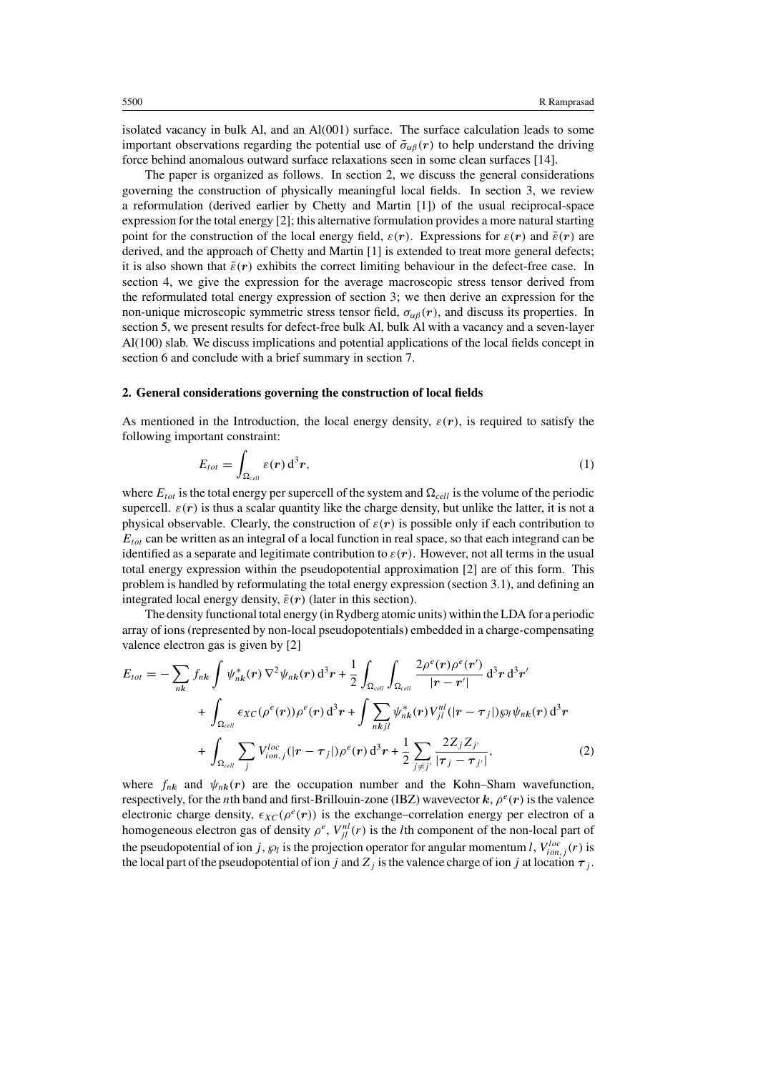isolated vacancy in bulk Al, and an Al(001) surface. The surface calculation leads to some important observations regarding the potential use of  $\bar{\sigma}_{\alpha\beta}(r)$  to help understand the driving force behind anomalous outward surface relaxations seen in some clean surfaces [14].

The paper is organized as follows. In section 2, we discuss the general considerations governing the construction of physically meaningful local fields. In section 3, we review a reformulation (derived earlier by Chetty and Martin [1]) of the usual reciprocal-space expression for the total energy [2]; this alternative formulation provides a more natural starting point for the construction of the local energy field,  $\varepsilon(r)$ . Expressions for  $\varepsilon(r)$  and  $\bar{\varepsilon}(r)$  are derived, and the approach of Chetty and Martin [1] is extended to treat more general defects; it is also shown that  $\bar{\varepsilon}(r)$  exhibits the correct limiting behaviour in the defect-free case. In section 4, we give the expression for the average macroscopic stress tensor derived from the reformulated total energy expression of section 3; we then derive an expression for the non-unique microscopic symmetric stress tensor field,  $\sigma_{\alpha\beta}(r)$ , and discuss its properties. In section 5, we present results for defect-free bulk Al, bulk Al with a vacancy and a seven-layer Al(100) slab. We discuss implications and potential applications of the local fields concept in section 6 and conclude with a brief summary in section 7.

### **2. General considerations governing the construction of local fields**

As mentioned in the Introduction, the local energy density,  $\varepsilon(r)$ , is required to satisfy the following important constraint:

$$
E_{tot} = \int_{\Omega_{cell}} \varepsilon(r) d^3 r,\tag{1}
$$

where  $E_{tot}$  is the total energy per supercell of the system and  $\Omega_{cell}$  is the volume of the periodic supercell.  $\varepsilon(r)$  is thus a scalar quantity like the charge density, but unlike the latter, it is not a physical observable. Clearly, the construction of  $\varepsilon(r)$  is possible only if each contribution to  $E_{tot}$  can be written as an integral of a local function in real space, so that each integrand can be identified as a separate and legitimate contribution to  $\varepsilon(r)$ . However, not all terms in the usual total energy expression within the pseudopotential approximation [2] are of this form. This problem is handled by reformulating the total energy expression (section 3.1), and defining an integrated local energy density,  $\bar{\varepsilon}(r)$  (later in this section).

The density functional total energy (in Rydberg atomic units) within the LDA for a periodic array of ions (represented by non-local pseudopotentials) embedded in a charge-compensating valence electron gas is given by [2]

$$
E_{tot} = -\sum_{nk} f_{nk} \int \psi_{nk}^{*}(r) \nabla^{2} \psi_{nk}(r) d^{3}r + \frac{1}{2} \int_{\Omega_{cell}} \int_{\Omega_{cell}} \frac{2\rho^{e}(r)\rho^{e}(r')}{|r - r'|} d^{3}r d^{3}r' + \int_{\Omega_{cell}} \epsilon_{XC}(\rho^{e}(r)) \rho^{e}(r) d^{3}r + \int \sum_{nkjl} \psi_{nk}^{*}(r) V_{jl}^{nl}(|r - \tau_{j}|) \wp_{l} \psi_{nk}(r) d^{3}r + \int_{\Omega_{cell}} \sum_{j} V_{ion,j}^{loc} (|r - \tau_{j}|) \rho^{e}(r) d^{3}r + \frac{1}{2} \sum_{j \neq j'} \frac{2Z_{j}Z_{j'}}{|\tau_{j} - \tau_{j'}|},
$$
(2)

where  $f_{nk}$  and  $\psi_{nk}(r)$  are the occupation number and the Kohn–Sham wavefunction, respectively, for the *n*th band and first-Brillouin-zone (IBZ) wavevector  $k$ ,  $\rho^e(r)$  is the valence electronic charge density,  $\epsilon_{XC}(\rho^e(r))$  is the exchange–correlation energy per electron of a homogeneous electron gas of density  $\rho^e$ ,  $V_{jl}^{nl}(r)$  is the *l*th component of the non-local part of the pseudopotential of ion *j*,  $\wp_l$  is the projection operator for angular momentum *l*,  $V_{ion,j}^{loc}(r)$  is the local part of the pseudopotential of ion *j* and  $Z_j$  is the valence charge of ion *j* at location  $\tau_j$ .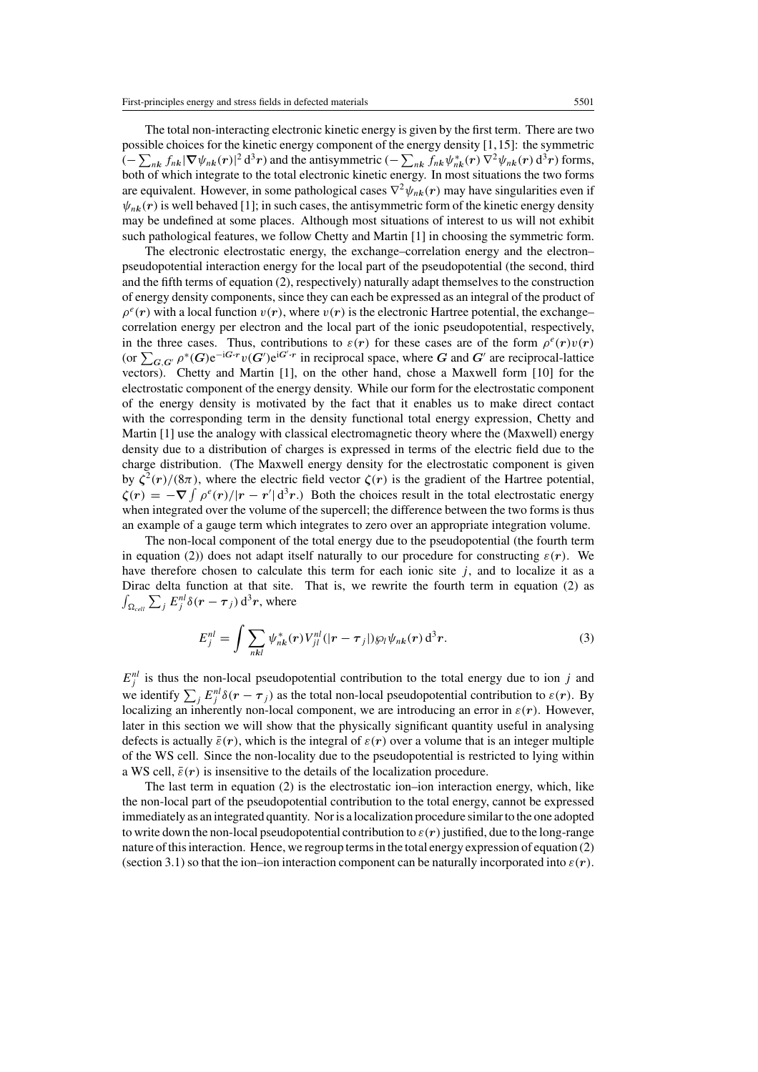The total non-interacting electronic kinetic energy is given by the first term. There are two possible choices for the kinetic energy component of the energy density [1,15]: the symmetric  $(-\sum_{nk} f_{nk} |\nabla \psi_{nk}(r)|^2 d^3r)$  and the antisymmetric  $(-\sum_{nk} f_{nk} \psi_{nk}^*(r) \nabla^2 \psi_{nk}(r) d^3r)$  forms, both of which integrate to the total electronic kinetic energy. In most situations the two forms are equivalent. However, in some pathological cases  $\nabla^2 \psi_{nk}(r)$  may have singularities even if  $\psi_{nk}(r)$  is well behaved [1]; in such cases, the antisymmetric form of the kinetic energy density may be undefined at some places. Although most situations of interest to us will not exhibit such pathological features, we follow Chetty and Martin [1] in choosing the symmetric form.

The electronic electrostatic energy, the exchange–correlation energy and the electron– pseudopotential interaction energy for the local part of the pseudopotential (the second, third and the fifth terms of equation (2), respectively) naturally adapt themselves to the construction of energy density components, since they can each be expressed as an integral of the product of  $\rho^e(r)$  with a local function  $v(r)$ , where  $v(r)$  is the electronic Hartree potential, the exchange– correlation energy per electron and the local part of the ionic pseudopotential, respectively, in the three cases. Thus, contributions to  $\varepsilon(r)$  for these cases are of the form  $\rho^e(r)v(r)$ (or  $\sum_{G,G'} \rho^*(G) e^{-iG \cdot r} v(G') e^{iG' \cdot r}$  in reciprocal space, where *G* and *G'* are reciprocal-lattice vectors). Chetty and Martin [1], on the other hand, chose a Maxwell form [10] for the electrostatic component of the energy density. While our form for the electrostatic component of the energy density is motivated by the fact that it enables us to make direct contact with the corresponding term in the density functional total energy expression, Chetty and Martin [1] use the analogy with classical electromagnetic theory where the (Maxwell) energy density due to a distribution of charges is expressed in terms of the electric field due to the charge distribution. (The Maxwell energy density for the electrostatic component is given by  $\zeta^2(r)/(8\pi)$ , where the electric field vector  $\zeta(r)$  is the gradient of the Hartree potential,  $\zeta(r) = -\nabla \int \rho^e(r)/|r - r'| d^3r$ .) Both the choices result in the total electrostatic energy when integrated over the volume of the supercell; the difference between the two forms is thus an example of a gauge term which integrates to zero over an appropriate integration volume.

The non-local component of the total energy due to the pseudopotential (the fourth term in equation (2)) does not adapt itself naturally to our procedure for constructing  $\varepsilon(r)$ . We have therefore chosen to calculate this term for each ionic site *j*, and to localize it as a Dirac delta function at that site. That is, we rewrite the fourth term in equation (2) as  $\int_{\Omega_{cell}} \sum_j E_j^{nl} \delta(\bm{r} - \bm{\tau}_j) \, \mathrm{d}^3\bm{r},$  where

$$
E_j^{nl} = \int \sum_{nkl} \psi_{nk}^*(r) V_{jl}^{nl}(|r - \tau_j|) \wp_l \psi_{nk}(r) d^3r.
$$
 (3)

 $E_j^{nl}$  is thus the non-local pseudopotential contribution to the total energy due to ion *j* and we identify  $\sum_j E_j^{nl} \delta(r - \tau_j)$  as the total non-local pseudopotential contribution to  $\varepsilon(r)$ . By localizing an inherently non-local component, we are introducing an error in *ε(r)*. However, later in this section we will show that the physically significant quantity useful in analysing defects is actually  $\bar{\varepsilon}(r)$ , which is the integral of  $\varepsilon(r)$  over a volume that is an integer multiple of the WS cell. Since the non-locality due to the pseudopotential is restricted to lying within a WS cell,  $\bar{\varepsilon}(r)$  is insensitive to the details of the localization procedure.

The last term in equation (2) is the electrostatic ion–ion interaction energy, which, like the non-local part of the pseudopotential contribution to the total energy, cannot be expressed immediately as an integrated quantity. Nor is a localization procedure similar to the one adopted to write down the non-local pseudopotential contribution to  $\varepsilon(r)$  justified, due to the long-range nature of this interaction. Hence, we regroup terms in the total energy expression of equation (2) (section 3.1) so that the ion–ion interaction component can be naturally incorporated into  $\varepsilon(r)$ .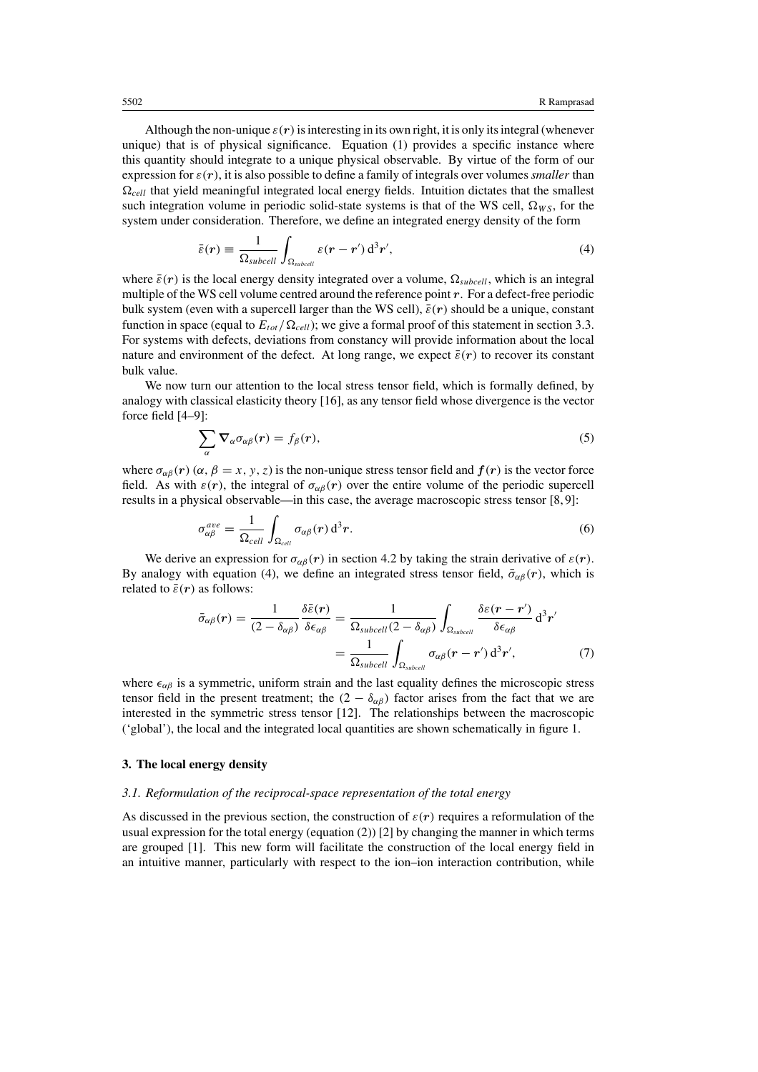Although the non-unique  $\varepsilon(r)$  is interesting in its own right, it is only its integral (whenever unique) that is of physical significance. Equation (1) provides a specific instance where this quantity should integrate to a unique physical observable. By virtue of the form of our expression for  $\varepsilon(r)$ , it is also possible to define a family of integrals over volumes *smaller* than  $\Omega_{cell}$  that yield meaningful integrated local energy fields. Intuition dictates that the smallest such integration volume in periodic solid-state systems is that of the WS cell,  $\Omega_{WS}$ , for the system under consideration. Therefore, we define an integrated energy density of the form

$$
\bar{\varepsilon}(r) \equiv \frac{1}{\Omega_{subcell}} \int_{\Omega_{subcell}} \varepsilon(r - r') d^3 r', \tag{4}
$$

where  $\bar{\varepsilon}(r)$  is the local energy density integrated over a volume,  $\Omega_{subcell}$ , which is an integral multiple of the WS cell volume centred around the reference point *r*. For a defect-free periodic bulk system (even with a supercell larger than the WS cell),  $\bar{\varepsilon}(r)$  should be a unique, constant function in space (equal to  $E_{tot}/\Omega_{cell}$ ); we give a formal proof of this statement in section 3.3. For systems with defects, deviations from constancy will provide information about the local nature and environment of the defect. At long range, we expect  $\bar{\varepsilon}(r)$  to recover its constant bulk value.

We now turn our attention to the local stress tensor field, which is formally defined, by analogy with classical elasticity theory [16], as any tensor field whose divergence is the vector force field [4–9]:

$$
\sum_{\alpha} \nabla_{\alpha} \sigma_{\alpha\beta}(r) = f_{\beta}(r),\tag{5}
$$

where  $\sigma_{\alpha\beta}(r)$  ( $\alpha$ ,  $\beta = x$ , y, z) is the non-unique stress tensor field and  $f(r)$  is the vector force field. As with  $\varepsilon(r)$ , the integral of  $\sigma_{\alpha\beta}(r)$  over the entire volume of the periodic supercell results in a physical observable—in this case, the average macroscopic stress tensor [8, 9]:

$$
\sigma_{\alpha\beta}^{ave} = \frac{1}{\Omega_{cell}} \int_{\Omega_{cell}} \sigma_{\alpha\beta}(r) d^3 r.
$$
\n(6)

We derive an expression for  $\sigma_{\alpha\beta}(r)$  in section 4.2 by taking the strain derivative of  $\varepsilon(r)$ . By analogy with equation (4), we define an integrated stress tensor field,  $\bar{\sigma}_{\alpha\beta}(r)$ , which is related to  $\bar{\varepsilon}(r)$  as follows:

$$
\bar{\sigma}_{\alpha\beta}(r) = \frac{1}{(2 - \delta_{\alpha\beta})} \frac{\delta \bar{\varepsilon}(r)}{\delta \epsilon_{\alpha\beta}} = \frac{1}{\Omega_{subcell}(2 - \delta_{\alpha\beta})} \int_{\Omega_{subcell}} \frac{\delta \varepsilon(r - r')}{\delta \epsilon_{\alpha\beta}} d^3 r' \n= \frac{1}{\Omega_{subcell}} \int_{\Omega_{subcell}} \sigma_{\alpha\beta}(r - r') d^3 r',
$$
\n(7)

where  $\epsilon_{\alpha\beta}$  is a symmetric, uniform strain and the last equality defines the microscopic stress tensor field in the present treatment; the  $(2 - \delta_{\alpha\beta})$  factor arises from the fact that we are interested in the symmetric stress tensor [12]. The relationships between the macroscopic ('global'), the local and the integrated local quantities are shown schematically in figure 1.

### **3. The local energy density**

### *3.1. Reformulation of the reciprocal-space representation of the total energy*

As discussed in the previous section, the construction of  $\varepsilon(r)$  requires a reformulation of the usual expression for the total energy (equation  $(2)$ ) [2] by changing the manner in which terms are grouped [1]. This new form will facilitate the construction of the local energy field in an intuitive manner, particularly with respect to the ion–ion interaction contribution, while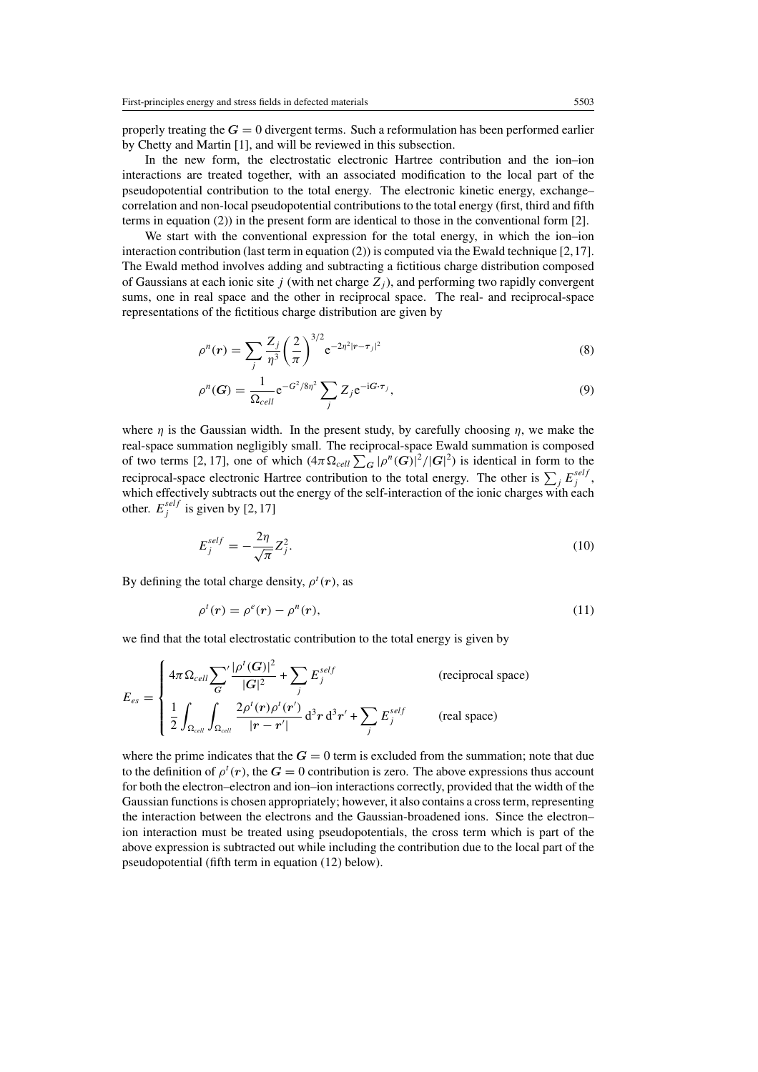properly treating the  $G = 0$  divergent terms. Such a reformulation has been performed earlier by Chetty and Martin [1], and will be reviewed in this subsection.

In the new form, the electrostatic electronic Hartree contribution and the ion–ion interactions are treated together, with an associated modification to the local part of the pseudopotential contribution to the total energy. The electronic kinetic energy, exchange– correlation and non-local pseudopotential contributions to the total energy (first, third and fifth terms in equation (2)) in the present form are identical to those in the conventional form  $[2]$ .

We start with the conventional expression for the total energy, in which the ion–ion interaction contribution (last term in equation (2)) is computed via the Ewald technique  $[2,17]$ . The Ewald method involves adding and subtracting a fictitious charge distribution composed of Gaussians at each ionic site  $j$  (with net charge  $Z_j$ ), and performing two rapidly convergent sums, one in real space and the other in reciprocal space. The real- and reciprocal-space representations of the fictitious charge distribution are given by

$$
\rho^{n}(r) = \sum_{j} \frac{Z_{j}}{\eta^{3}} \left(\frac{2}{\pi}\right)^{3/2} e^{-2\eta^{2}|r-\tau_{j}|^{2}}
$$
\n(8)

$$
\rho^n(G) = \frac{1}{\Omega_{cell}} e^{-G^2/8\eta^2} \sum_j Z_j e^{-iG \cdot \tau_j},\tag{9}
$$

where *η* is the Gaussian width. In the present study, by carefully choosing *η*, we make the real-space summation negligibly small. The reciprocal-space Ewald summation is composed of two terms [2, 17], one of which  $(4\pi \Omega_{cell} \sum_G |\rho^n(G)|^2/|G|^2)$  is identical in form to the reciprocal-space electronic Hartree contribution to the total energy. The other is  $\sum_j E_j^{self}$ , which effectively subtracts out the energy of the self-interaction of the ionic charges with each other.  $E_j^{self}$  is given by [2, 17]

$$
E_j^{self} = -\frac{2\eta}{\sqrt{\pi}} Z_j^2. \tag{10}
$$

By defining the total charge density,  $\rho^t(\mathbf{r})$ , as

$$
\rho^t(\mathbf{r}) = \rho^e(\mathbf{r}) - \rho^n(\mathbf{r}),\tag{11}
$$

we find that the total electrostatic contribution to the total energy is given by

$$
E_{es} = \begin{cases} 4\pi \Omega_{cell} \sum_{G} \frac{|\rho^t(G)|^2}{|G|^2} + \sum_{j} E_j^{self} & \text{(reciprocal space)}\\ \frac{1}{2} \int_{\Omega_{cell}} \int_{\Omega_{cell}} \frac{2\rho^t(r)\rho^t(r')}{|r - r'|} d^3r d^3r' + \sum_{j} E_j^{self} & \text{(real space)} \end{cases}
$$

where the prime indicates that the  $G = 0$  term is excluded from the summation; note that due to the definition of  $\rho^t(r)$ , the  $G = 0$  contribution is zero. The above expressions thus account for both the electron–electron and ion–ion interactions correctly, provided that the width of the Gaussian functions is chosen appropriately; however, it also contains a cross term, representing the interaction between the electrons and the Gaussian-broadened ions. Since the electron– ion interaction must be treated using pseudopotentials, the cross term which is part of the above expression is subtracted out while including the contribution due to the local part of the pseudopotential (fifth term in equation (12) below).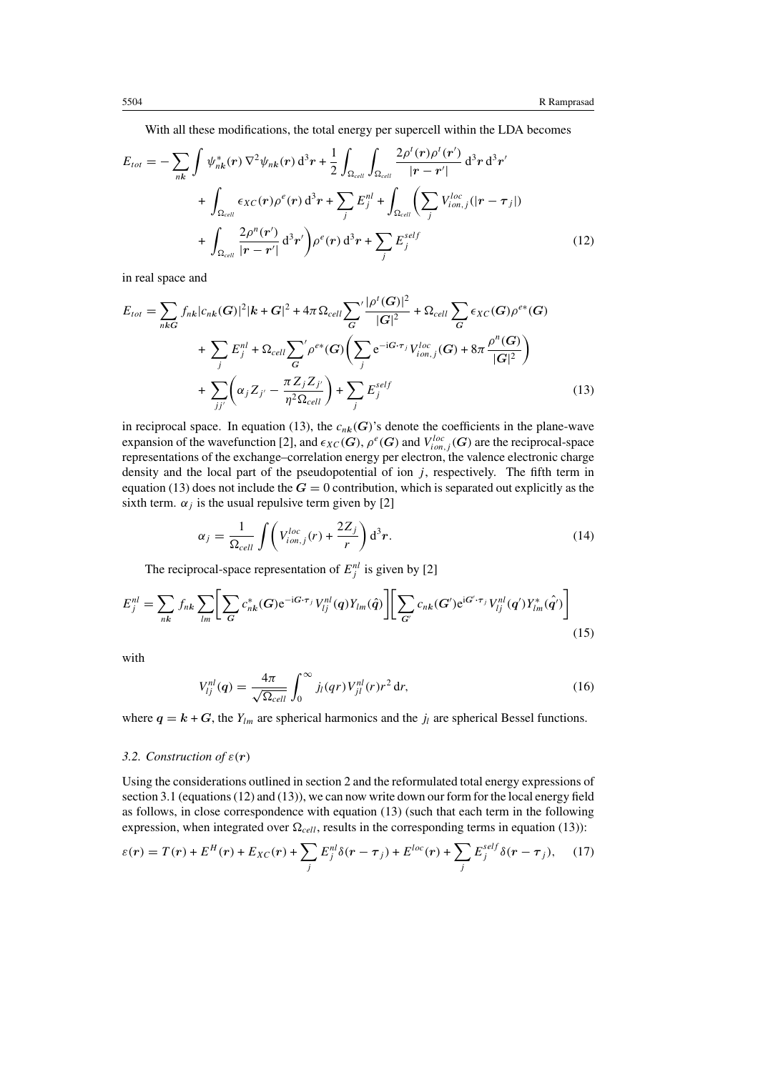With all these modifications, the total energy per supercell within the LDA becomes

$$
E_{tot} = -\sum_{nk} \int \psi_{nk}^{*}(r) \nabla^{2} \psi_{nk}(r) d^{3}r + \frac{1}{2} \int_{\Omega_{cell}} \int_{\Omega_{cell}} \frac{2 \rho^{t}(r) \rho^{t}(r')}{|r - r'|} d^{3}r d^{3}r' + \int_{\Omega_{cell}} \epsilon_{XC}(r) \rho^{e}(r) d^{3}r + \sum_{j} E_{j}^{nl} + \int_{\Omega_{cell}} \left(\sum_{j} V_{ion,j}^{loc} (|r - \tau_{j}|) + \int_{\Omega_{cell}} \frac{2 \rho^{n}(r')}{|r - r'|} d^{3}r'\right) \rho^{e}(r) d^{3}r + \sum_{j} E_{j}^{self}
$$
(12)

in real space and

$$
E_{tot} = \sum_{nkG} f_{nk} |c_{nk}(G)|^2 |k + G|^2 + 4\pi \Omega_{cell} \sum_{G} \frac{|\rho^t(G)|^2}{|G|^2} + \Omega_{cell} \sum_{G} \epsilon_{XC}(G) \rho^{e*}(G)
$$
  
+ 
$$
\sum_{j} E_j^{nl} + \Omega_{cell} \sum_{G} \rho^{e*}(G) \left( \sum_{j} e^{-iG \cdot \tau_j} V_{ion,j}^{loc}(G) + 8\pi \frac{\rho^n(G)}{|G|^2} \right)
$$
  
+ 
$$
\sum_{jj'} \left( \alpha_j Z_{j'} - \frac{\pi Z_j Z_{j'}}{\eta^2 \Omega_{cell}} \right) + \sum_{j} E_j^{self}
$$
(13)

in reciprocal space. In equation (13), the  $c_{nk}(G)$ 's denote the coefficients in the plane-wave expansion of the wavefunction [2], and  $\epsilon_{XC}(G)$ ,  $\rho^e(G)$  and  $V_{ion,j}^{loc}(G)$  are the reciprocal-space representations of the exchange–correlation energy per electron, the valence electronic charge density and the local part of the pseudopotential of ion  $j$ , respectively. The fifth term in equation (13) does not include the  $G = 0$  contribution, which is separated out explicitly as the sixth term.  $\alpha_j$  is the usual repulsive term given by [2]

$$
\alpha_j = \frac{1}{\Omega_{cell}} \int \left( V_{ion,j}^{loc}(r) + \frac{2Z_j}{r} \right) d^3r. \tag{14}
$$

The reciprocal-space representation of  $E_j^{nl}$  is given by [2]

$$
E_j^{nl} = \sum_{nk} f_{nk} \sum_{lm} \left[ \sum_G c_{nk}^*(G) e^{-iG \cdot \tau_j} V_{lj}^{nl}(q) Y_{lm}(\hat{q}) \right] \left[ \sum_{G'} c_{nk}(G') e^{iG' \cdot \tau_j} V_{lj}^{nl}(q') Y_{lm}^*(\hat{q'}) \right]
$$
(15)

with

$$
V_{lj}^{nl}(q) = \frac{4\pi}{\sqrt{\Omega_{cell}}} \int_0^\infty j_l(qr) V_{jl}^{nl}(r) r^2 dr,
$$
\n(16)

where  $q = k + G$ , the  $Y_{lm}$  are spherical harmonics and the  $j_l$  are spherical Bessel functions.

# *3.2. Construction of ε(r)*

Using the considerations outlined in section 2 and the reformulated total energy expressions of section 3.1 (equations (12) and (13)), we can now write down our form for the local energy field as follows, in close correspondence with equation (13) (such that each term in the following expression, when integrated over  $\Omega_{cell}$ , results in the corresponding terms in equation (13)):

$$
\varepsilon(r) = T(r) + E^H(r) + E_{XC}(r) + \sum_j E_j^{nl} \delta(r - \tau_j) + E^{loc}(r) + \sum_j E_j^{self} \delta(r - \tau_j), \quad (17)
$$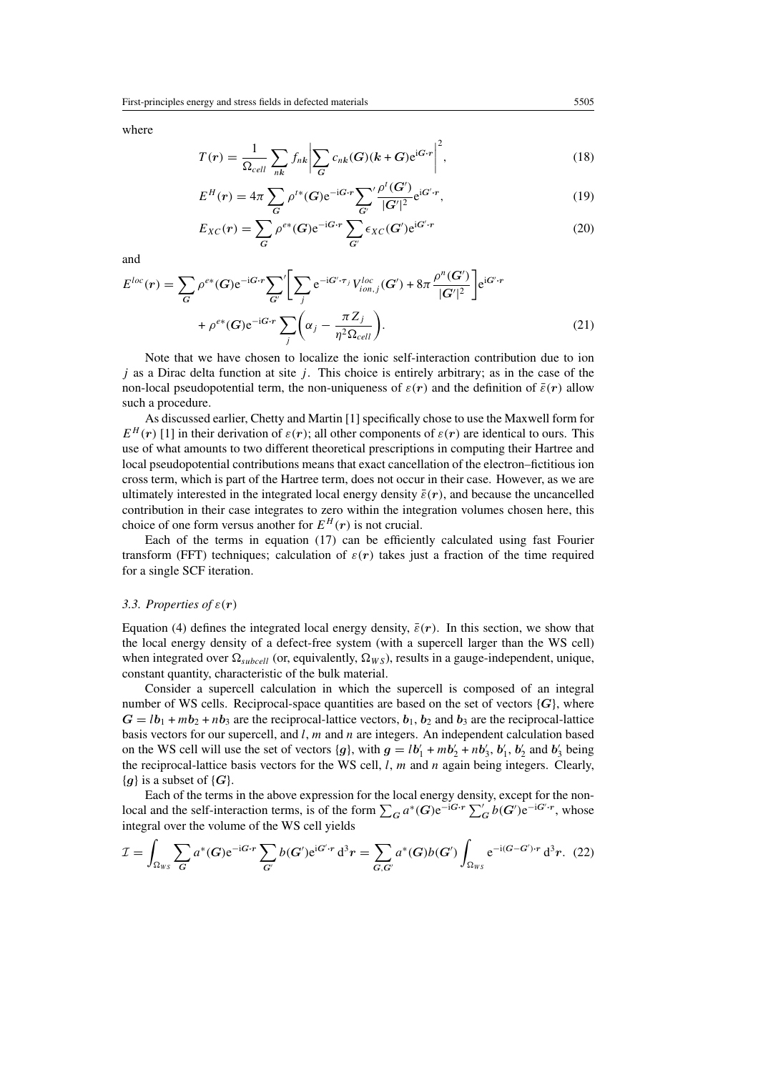where

$$
T(r) = \frac{1}{\Omega_{cell}} \sum_{nk} f_{nk} \left| \sum_{G} c_{nk}(G)(k+G) e^{iG \cdot r} \right|^2,
$$
\n(18)

$$
E^{H}(r) = 4\pi \sum_{G} \rho^{t*}(G) e^{-iG \cdot r} \sum_{G'} \frac{\rho^{t}(G')}{|G'|^2} e^{iG' \cdot r},
$$
\n(19)

$$
E_{XC}(r) = \sum_G \rho^{e*}(G) e^{-iG\cdot r} \sum_{G'} \epsilon_{XC}(G') e^{iG'\cdot r}
$$
\n(20)

and

$$
E^{loc}(r) = \sum_{G} \rho^{e*}(G) e^{-iG\cdot r} \sum_{G'} \left[ \sum_{j} e^{-iG'\cdot \tau_{j}} V_{ion,j}^{loc}(G') + 8\pi \frac{\rho^{n}(G')}{|G'|^{2}} \right] e^{iG'\cdot r} + \rho^{e*}(G) e^{-iG\cdot r} \sum_{j} \left( \alpha_{j} - \frac{\pi Z_{j}}{\eta^{2} \Omega_{cell}} \right).
$$
\n(21)

Note that we have chosen to localize the ionic self-interaction contribution due to ion *j* as a Dirac delta function at site *j*. This choice is entirely arbitrary; as in the case of the non-local pseudopotential term, the non-uniqueness of  $\varepsilon(r)$  and the definition of  $\bar{\varepsilon}(r)$  allow such a procedure.

As discussed earlier, Chetty and Martin [1] specifically chose to use the Maxwell form for *E<sup>H</sup>* (*r*) [1] in their derivation of  $\varepsilon(r)$ ; all other components of  $\varepsilon(r)$  are identical to ours. This use of what amounts to two different theoretical prescriptions in computing their Hartree and local pseudopotential contributions means that exact cancellation of the electron–fictitious ion cross term, which is part of the Hartree term, does not occur in their case. However, as we are ultimately interested in the integrated local energy density  $\bar{\varepsilon}(r)$ , and because the uncancelled contribution in their case integrates to zero within the integration volumes chosen here, this choice of one form versus another for  $E^H(r)$  is not crucial.

Each of the terms in equation (17) can be efficiently calculated using fast Fourier transform (FFT) techniques; calculation of  $\varepsilon(r)$  takes just a fraction of the time required for a single SCF iteration.

### *3.3. Properties of ε(r)*

Equation (4) defines the integrated local energy density,  $\bar{\varepsilon}(r)$ . In this section, we show that the local energy density of a defect-free system (with a supercell larger than the WS cell) when integrated over  $\Omega_{subcell}$  (or, equivalently,  $\Omega_{WS}$ ), results in a gauge-independent, unique, constant quantity, characteristic of the bulk material.

Consider a supercell calculation in which the supercell is composed of an integral number of WS cells. Reciprocal-space quantities are based on the set of vectors {*G*}, where  $G = lb_1 + mb_2 + nb_3$  are the reciprocal-lattice vectors,  $b_1$ ,  $b_2$  and  $b_3$  are the reciprocal-lattice basis vectors for our supercell, and *l*, *m* and *n* are integers. An independent calculation based on the WS cell will use the set of vectors  ${g}$ , with  $g = lb'_1 + mb'_2 + nb'_3$ ,  $b'_1$ ,  $b'_2$  and  $b'_3$  being the reciprocal-lattice basis vectors for the WS cell, *l*, *m* and *n* again being integers. Clearly,  ${g}$  is a subset of  ${G}$ .

Each of the terms in the above expression for the local energy density, except for the nonlocal and the self-interaction terms, is of the form  $\sum_G a^*(G) e^{-iG \cdot r} \sum_G' b(G') e^{-iG' \cdot r}$ , whose integral over the volume of the WS cell yields

$$
\mathcal{I} = \int_{\Omega_{WS}} \sum_{G} a^*(G) e^{-iG \cdot r} \sum_{G'} b(G') e^{iG' \cdot r} d^3 r = \sum_{G,G'} a^*(G) b(G') \int_{\Omega_{WS}} e^{-i(G-G') \cdot r} d^3 r. (22)
$$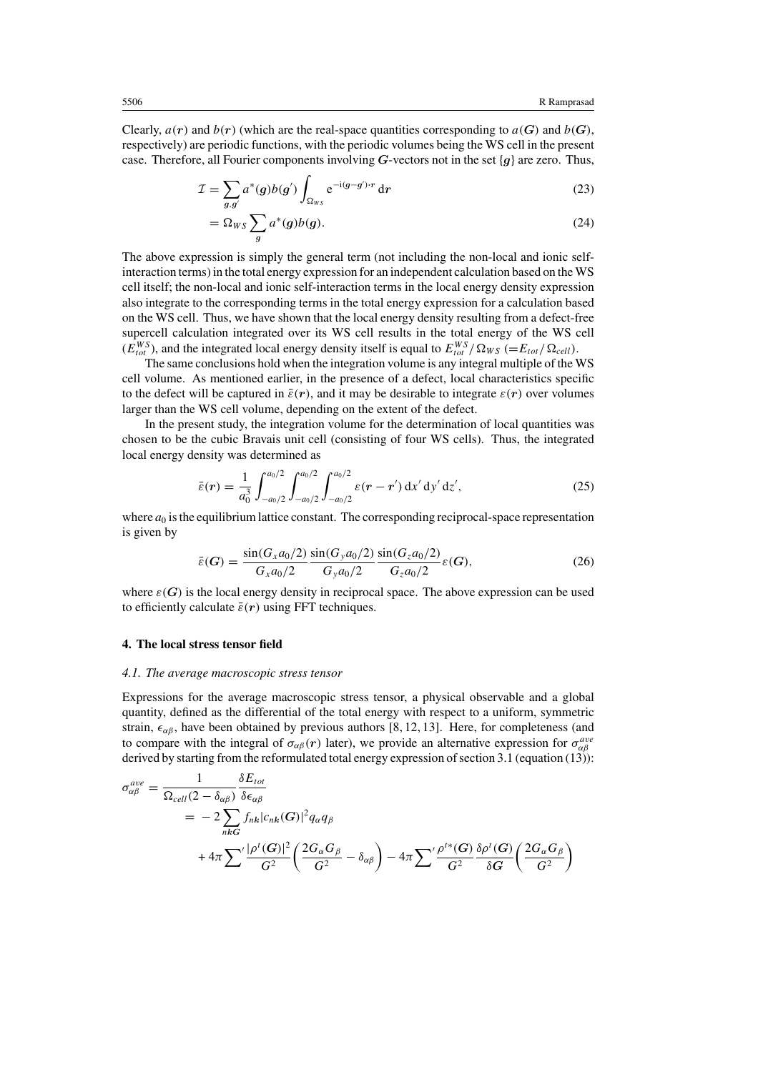Clearly,  $a(r)$  and  $b(r)$  (which are the real-space quantities corresponding to  $a(G)$  and  $b(G)$ , respectively) are periodic functions, with the periodic volumes being the WS cell in the present case. Therefore, all Fourier components involving *G*-vectors not in the set {*g*} are zero. Thus,

$$
\mathcal{I} = \sum_{g,g'} a^*(g)b(g') \int_{\Omega_{WS}} e^{-i(g-g')\cdot r} dr \tag{23}
$$

$$
= \Omega_{WS} \sum_{g} a^*(g) b(g).
$$
 (24)

The above expression is simply the general term (not including the non-local and ionic selfinteraction terms) in the total energy expression for an independent calculation based on the WS cell itself; the non-local and ionic self-interaction terms in the local energy density expression also integrate to the corresponding terms in the total energy expression for a calculation based on the WS cell. Thus, we have shown that the local energy density resulting from a defect-free supercell calculation integrated over its WS cell results in the total energy of the WS cell  $(E_{tot}^{WS})$ , and the integrated local energy density itself is equal to  $E_{tot}^{WS}/\Omega_{WS}$  (= $E_{tot}/\Omega_{cell}$ ).

The same conclusions hold when the integration volume is any integral multiple of the WS cell volume. As mentioned earlier, in the presence of a defect, local characteristics specific to the defect will be captured in  $\bar{\varepsilon}(r)$ , and it may be desirable to integrate  $\varepsilon(r)$  over volumes larger than the WS cell volume, depending on the extent of the defect.

In the present study, the integration volume for the determination of local quantities was chosen to be the cubic Bravais unit cell (consisting of four WS cells). Thus, the integrated local energy density was determined as

$$
\bar{\varepsilon}(r) = \frac{1}{a_0^3} \int_{-a_0/2}^{a_0/2} \int_{-a_0/2}^{a_0/2} \int_{-a_0/2}^{a_0/2} \varepsilon(r - r') \, dx' \, dy' \, dz', \tag{25}
$$

where  $a_0$  is the equilibrium lattice constant. The corresponding reciprocal-space representation is given by

$$
\bar{\varepsilon}(G) = \frac{\sin(G_x a_0/2)}{G_x a_0/2} \frac{\sin(G_y a_0/2)}{G_y a_0/2} \frac{\sin(G_z a_0/2)}{G_z a_0/2} \varepsilon(G),
$$
\n(26)

where  $\varepsilon(G)$  is the local energy density in reciprocal space. The above expression can be used to efficiently calculate  $\bar{\varepsilon}(r)$  using FFT techniques.

### **4. The local stress tensor field**

### *4.1. The average macroscopic stress tensor*

Expressions for the average macroscopic stress tensor, a physical observable and a global quantity, defined as the differential of the total energy with respect to a uniform, symmetric strain,  $\epsilon_{\alpha\beta}$ , have been obtained by previous authors [8, 12, 13]. Here, for completeness (and to compare with the integral of  $\sigma_{\alpha\beta}(r)$  later), we provide an alternative expression for  $\sigma_{\alpha\beta}^{ave}$ derived by starting from the reformulated total energy expression of section 3.1 (equation (13)):

$$
\sigma_{\alpha\beta}^{ave} = \frac{1}{\Omega_{cell}(2 - \delta_{\alpha\beta})} \frac{\delta E_{tot}}{\delta \epsilon_{\alpha\beta}}
$$
  
= -2\sum\_{n k G} f\_{nk} |c\_{nk}(G)|^2 q\_{\alpha} q\_{\beta}  
+ 4\pi \sum' \frac{|\rho'(G)|^2}{G^2} \left(\frac{2G\_{\alpha}G\_{\beta}}{G^2} - \delta\_{\alpha\beta}\right) - 4\pi \sum' \frac{\rho'^\*(G)}{G^2} \frac{\delta \rho'(G)}{\delta G} \left(\frac{2G\_{\alpha}G\_{\beta}}{G^2}\right)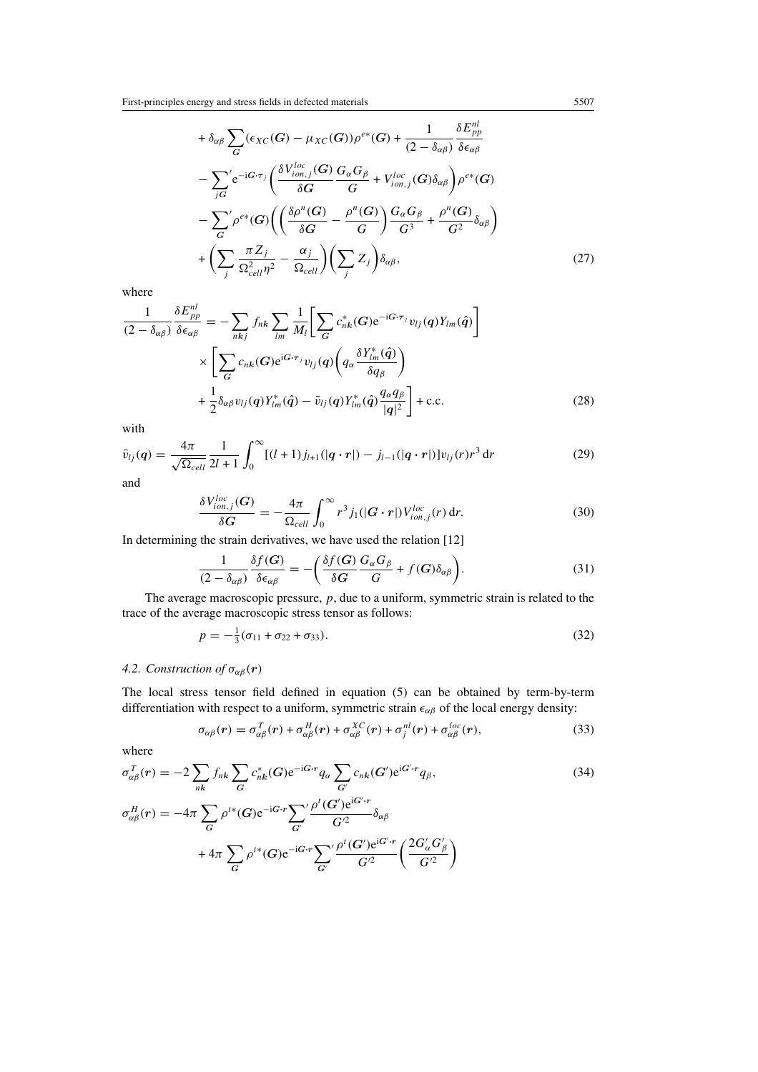$$
+ \delta_{\alpha\beta} \sum_{G} (\epsilon_{XC}(G) - \mu_{XC}(G)) \rho^{e*}(G) + \frac{1}{(2 - \delta_{\alpha\beta})} \frac{\delta E_{pp}^{nl}}{\delta \epsilon_{\alpha\beta}} - \sum_{jG} e^{-iG \cdot \tau_j} \left( \frac{\delta V_{ion,j}^{loc}(G)}{\delta G} \frac{G_{\alpha} G_{\beta}}{G} + V_{ion,j}^{loc}(G) \delta_{\alpha\beta} \right) \rho^{e*}(G) - \sum_{G} \rho^{e*}(G) \left( \left( \frac{\delta \rho^n(G)}{\delta G} - \frac{\rho^n(G)}{G} \right) \frac{G_{\alpha} G_{\beta}}{G^3} + \frac{\rho^n(G)}{G^2} \delta_{\alpha\beta} \right) + \left( \sum_{j} \frac{\pi Z_j}{\Omega_{cell}^2 \eta^2} - \frac{\alpha_j}{\Omega_{cell}} \right) \left( \sum_{j} Z_j \right) \delta_{\alpha\beta},
$$
(27)

where

$$
\frac{1}{(2-\delta_{\alpha\beta})} \frac{\delta E_{pp}^{nl}}{\delta \epsilon_{\alpha\beta}} = -\sum_{nkj} f_{nk} \sum_{lm} \frac{1}{M_l} \bigg[ \sum_{G} c_{nk}^*(G) e^{-iG \cdot \tau_j} v_{lj}(q) Y_{lm}(\hat{q}) \bigg] \times \bigg[ \sum_{G} c_{nk}(G) e^{iG \cdot \tau_j} v_{lj}(q) \bigg( q_{\alpha} \frac{\delta Y_{lm}^*(\hat{q})}{\delta q_{\beta}} \bigg) + \frac{1}{2} \delta_{\alpha\beta} v_{lj}(q) Y_{lm}^*(\hat{q}) - \bar{v}_{lj}(q) Y_{lm}^*(\hat{q}) \frac{q_{\alpha}q_{\beta}}{|q|^2} \bigg] + \text{c.c.}
$$
\n(28)

with

$$
\bar{v}_{lj}(q) = \frac{4\pi}{\sqrt{\Omega_{cell}}} \frac{1}{2l+1} \int_0^\infty [(l+1)j_{l+1}(|q \cdot r|) - j_{l-1}(|q \cdot r|)] v_{lj}(r) r^3 dr \tag{29}
$$

and

$$
\frac{\delta V_{ion,j}^{loc}(G)}{\delta G} = -\frac{4\pi}{\Omega_{cell}} \int_0^\infty r^3 j_1(|G \cdot r|) V_{ion,j}^{loc}(r) dr.
$$
\n(30)

In determining the strain derivatives, we have used the relation [12]

$$
\frac{1}{(2-\delta_{\alpha\beta})}\frac{\delta f(G)}{\delta \epsilon_{\alpha\beta}} = -\bigg(\frac{\delta f(G)}{\delta G}\frac{G_{\alpha}G_{\beta}}{G} + f(G)\delta_{\alpha\beta}\bigg). \tag{31}
$$

The average macroscopic pressure, *p*, due to a uniform, symmetric strain is related to the trace of the average macroscopic stress tensor as follows:

$$
p = -\frac{1}{3}(\sigma_{11} + \sigma_{22} + \sigma_{33}).
$$
\n(32)

# *4.2. Construction of*  $\sigma_{\alpha\beta}(r)$

The local stress tensor field defined in equation (5) can be obtained by term-by-term differentiation with respect to a uniform, symmetric strain  $\epsilon_{\alpha\beta}$  of the local energy density:

$$
\sigma_{\alpha\beta}(r) = \sigma_{\alpha\beta}^T(r) + \sigma_{\alpha\beta}^H(r) + \sigma_{\alpha\beta}^{XC}(r) + \sigma_j^{nl}(r) + \sigma_{\alpha\beta}^{loc}(r),
$$
\n(33)

where

$$
\sigma_{\alpha\beta}^{T}(r) = -2\sum_{nk} f_{nk} \sum_{G} c_{nk}^{*}(G) e^{-iG\cdot r} q_{\alpha} \sum_{G'} c_{nk}(G') e^{iG'\cdot r} q_{\beta},
$$
\n
$$
\sigma_{\alpha\beta}^{H}(r) = -4\pi \sum_{G} \rho^{t*}(G) e^{-iG\cdot r} \sum_{G'} \frac{\rho^{t}(G') e^{iG'\cdot r}}{G'^{2}} \delta_{\alpha\beta}
$$
\n
$$
+4\pi \sum_{G} \rho^{t*}(G) e^{-iG\cdot r} \sum_{G'} \frac{\rho^{t}(G') e^{iG'\cdot r}}{G'^{2}} \left(\frac{2G'_{\alpha}G'_{\beta}}{G'^{2}}\right)
$$
\n(34)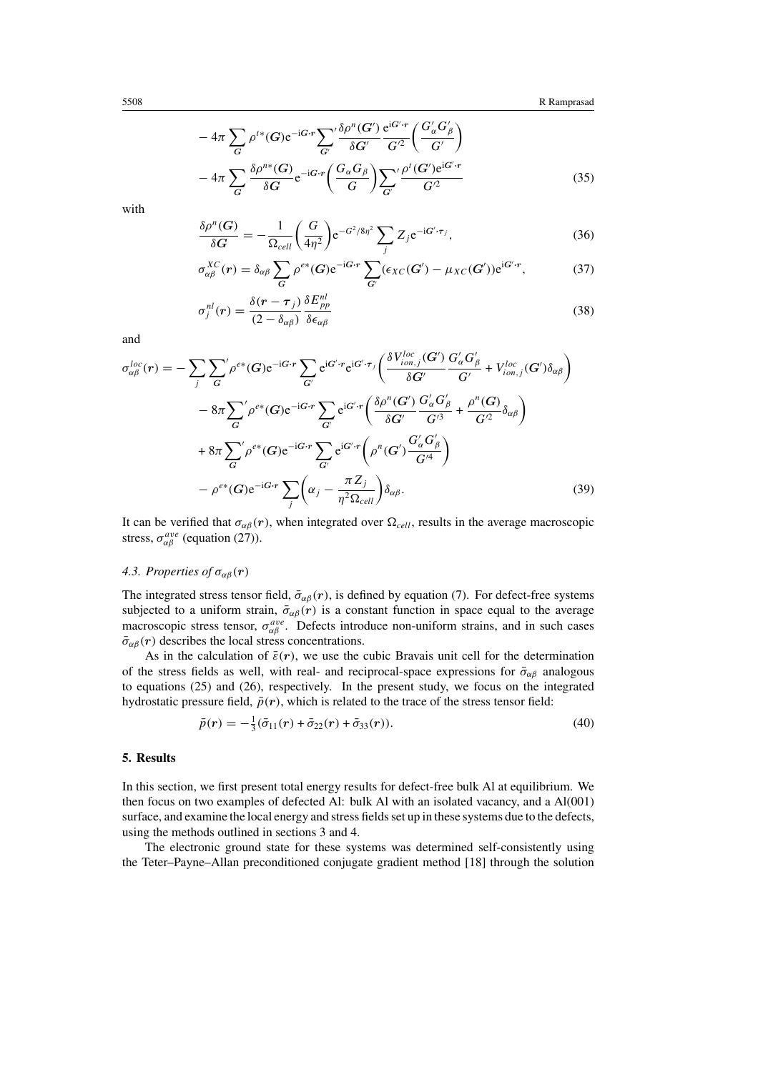$$
-4\pi \sum_{G} \rho^{t*}(G) e^{-iG\cdot r} \sum_{G'} \frac{\delta \rho^n(G')}{\delta G'} \frac{e^{iG'\cdot r}}{G'^2} \left(\frac{G'_\alpha G'_\beta}{G'}\right)
$$

$$
-4\pi \sum_{G} \frac{\delta \rho^{n*}(G)}{\delta G} e^{-iG\cdot r} \left(\frac{G_\alpha G_\beta}{G}\right) \sum_{G'} \frac{\rho^t(G') e^{iG'\cdot r}}{G'^2}
$$
(35)

with

$$
\frac{\delta \rho^n(G)}{\delta G} = -\frac{1}{\Omega_{cell}} \left( \frac{G}{4\eta^2} \right) e^{-G^2/8\eta^2} \sum_j Z_j e^{-iG'\cdot \tau_j},\tag{36}
$$

$$
\sigma_{\alpha\beta}^{XC}(r) = \delta_{\alpha\beta} \sum_{G} \rho^{e*}(G) e^{-iG\cdot r} \sum_{G'} (\epsilon_{XC}(G') - \mu_{XC}(G')) e^{iG'\cdot r}, \qquad (37)
$$

$$
\sigma_j^{nl}(r) = \frac{\delta(r - \tau_j)}{(2 - \delta_{\alpha\beta})} \frac{\delta E_{pp}^{nl}}{\delta \epsilon_{\alpha\beta}}
$$
(38)

and

$$
\sigma_{\alpha\beta}^{loc}(r) = -\sum_{j} \sum_{G}^{\prime} \rho^{e*}(G) e^{-iG\cdot r} \sum_{G'} e^{iG'\cdot r} e^{iG'\cdot r_{j}} \left( \frac{\delta V_{ion,j}^{loc}(G')}{\delta G'} \frac{G'_{\alpha} G'_{\beta}}{G'} + V_{ion,j}^{loc}(G') \delta_{\alpha\beta} \right)
$$

$$
- 8\pi \sum_{G}^{\prime} \rho^{e*}(G) e^{-iG\cdot r} \sum_{G'} e^{iG'\cdot r} \left( \frac{\delta \rho^{n}(G')}{\delta G'} \frac{G'_{\alpha} G'_{\beta}}{G'^3} + \frac{\rho^{n}(G)}{G'^2} \delta_{\alpha\beta} \right)
$$

$$
+ 8\pi \sum_{G}^{\prime} \rho^{e*}(G) e^{-iG\cdot r} \sum_{G'} e^{iG'\cdot r} \left( \rho^{n}(G') \frac{G'_{\alpha} G'_{\beta}}{G'^4} \right)
$$

$$
- \rho^{e*}(G) e^{-iG\cdot r} \sum_{j} \left( \alpha_{j} - \frac{\pi Z_{j}}{\eta^{2} \Omega_{cell}} \right) \delta_{\alpha\beta}.
$$
(39)

It can be verified that  $\sigma_{\alpha\beta}(r)$ , when integrated over  $\Omega_{cell}$ , results in the average macroscopic stress,  $\sigma_{\alpha\beta}^{ave}$  (equation (27)).

# *4.3. Properties of*  $\sigma_{\alpha\beta}(r)$

The integrated stress tensor field,  $\bar{\sigma}_{\alpha\beta}(r)$ , is defined by equation (7). For defect-free systems subjected to a uniform strain,  $\bar{\sigma}_{\alpha\beta}(r)$  is a constant function in space equal to the average macroscopic stress tensor,  $\sigma_{\alpha\beta}^{ave}$ . Defects introduce non-uniform strains, and in such cases  $\bar{\sigma}_{\alpha\beta}(r)$  describes the local stress concentrations.

As in the calculation of  $\bar{\varepsilon}(r)$ , we use the cubic Bravais unit cell for the determination of the stress fields as well, with real- and reciprocal-space expressions for  $\bar{\sigma}_{\alpha\beta}$  analogous to equations (25) and (26), respectively. In the present study, we focus on the integrated hydrostatic pressure field,  $\bar{p}(r)$ , which is related to the trace of the stress tensor field:

$$
\bar{p}(r) = -\frac{1}{3}(\bar{\sigma}_{11}(r) + \bar{\sigma}_{22}(r) + \bar{\sigma}_{33}(r)).
$$
\n(40)

### **5. Results**

In this section, we first present total energy results for defect-free bulk Al at equilibrium. We then focus on two examples of defected Al: bulk Al with an isolated vacancy, and a Al(001) surface, and examine the local energy and stress fields set up in these systems due to the defects, using the methods outlined in sections 3 and 4.

The electronic ground state for these systems was determined self-consistently using the Teter–Payne–Allan preconditioned conjugate gradient method [18] through the solution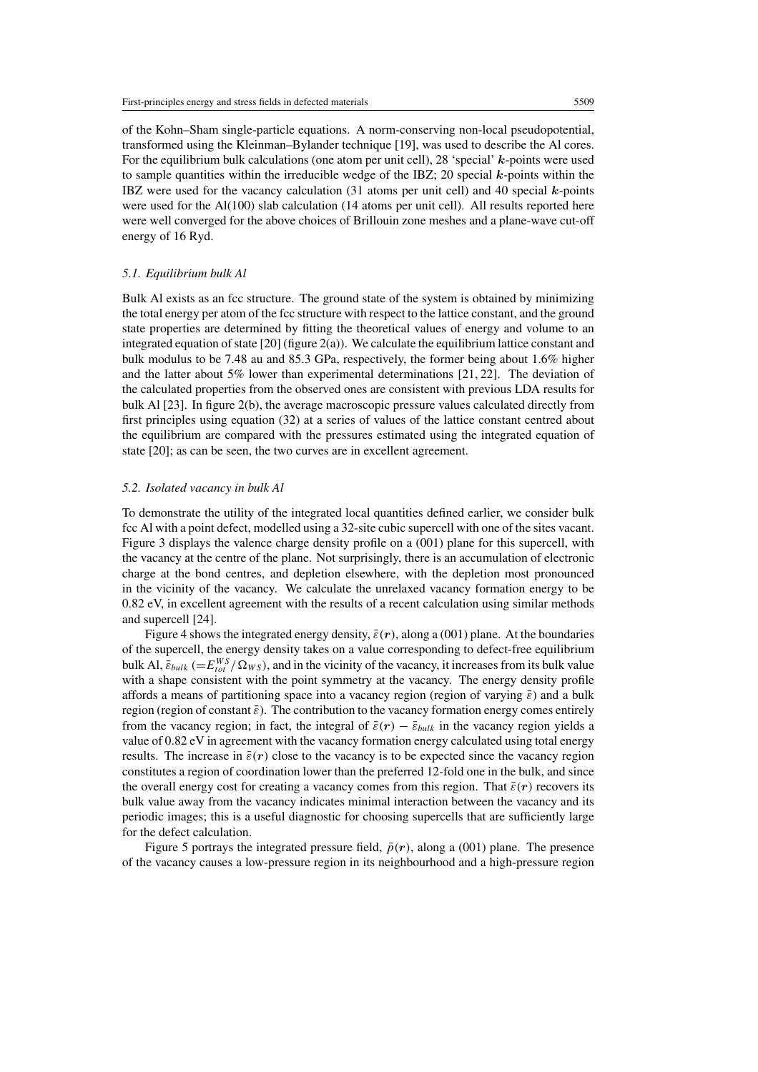of the Kohn–Sham single-particle equations. A norm-conserving non-local pseudopotential, transformed using the Kleinman–Bylander technique [19], was used to describe the Al cores. For the equilibrium bulk calculations (one atom per unit cell), 28 'special' *k*-points were used to sample quantities within the irreducible wedge of the IBZ; 20 special *k*-points within the IBZ were used for the vacancy calculation (31 atoms per unit cell) and 40 special *k*-points were used for the Al(100) slab calculation (14 atoms per unit cell). All results reported here were well converged for the above choices of Brillouin zone meshes and a plane-wave cut-off energy of 16 Ryd.

# *5.1. Equilibrium bulk Al*

Bulk Al exists as an fcc structure. The ground state of the system is obtained by minimizing the total energy per atom of the fcc structure with respect to the lattice constant, and the ground state properties are determined by fitting the theoretical values of energy and volume to an integrated equation of state  $[20]$  (figure  $2(a)$ ). We calculate the equilibrium lattice constant and bulk modulus to be 7.48 au and 85.3 GPa, respectively, the former being about 1.6% higher and the latter about 5% lower than experimental determinations [21, 22]. The deviation of the calculated properties from the observed ones are consistent with previous LDA results for bulk Al [23]. In figure 2(b), the average macroscopic pressure values calculated directly from first principles using equation (32) at a series of values of the lattice constant centred about the equilibrium are compared with the pressures estimated using the integrated equation of state [20]; as can be seen, the two curves are in excellent agreement.

### *5.2. Isolated vacancy in bulk Al*

To demonstrate the utility of the integrated local quantities defined earlier, we consider bulk fcc Al with a point defect, modelled using a 32-site cubic supercell with one of the sites vacant. Figure 3 displays the valence charge density profile on a (001) plane for this supercell, with the vacancy at the centre of the plane. Not surprisingly, there is an accumulation of electronic charge at the bond centres, and depletion elsewhere, with the depletion most pronounced in the vicinity of the vacancy. We calculate the unrelaxed vacancy formation energy to be 0.82 eV, in excellent agreement with the results of a recent calculation using similar methods and supercell [24].

Figure 4 shows the integrated energy density,  $\bar{\varepsilon}(r)$ , along a (001) plane. At the boundaries of the supercell, the energy density takes on a value corresponding to defect-free equilibrium bulk Al,  $\bar{\varepsilon}_{bulk}$  (= $E_{tot}^{WS}/\Omega_{WS}$ ), and in the vicinity of the vacancy, it increases from its bulk value with a shape consistent with the point symmetry at the vacancy. The energy density profile affords a means of partitioning space into a vacancy region (region of varying  $\bar{\varepsilon}$ ) and a bulk region (region of constant  $\bar{\varepsilon}$ ). The contribution to the vacancy formation energy comes entirely from the vacancy region; in fact, the integral of  $\bar{\varepsilon}(r) - \bar{\varepsilon}_{bulk}$  in the vacancy region yields a value of 0.82 eV in agreement with the vacancy formation energy calculated using total energy results. The increase in  $\bar{\varepsilon}(r)$  close to the vacancy is to be expected since the vacancy region constitutes a region of coordination lower than the preferred 12-fold one in the bulk, and since the overall energy cost for creating a vacancy comes from this region. That  $\bar{\varepsilon}(r)$  recovers its bulk value away from the vacancy indicates minimal interaction between the vacancy and its periodic images; this is a useful diagnostic for choosing supercells that are sufficiently large for the defect calculation.

Figure 5 portrays the integrated pressure field,  $\bar{p}(r)$ , along a (001) plane. The presence of the vacancy causes a low-pressure region in its neighbourhood and a high-pressure region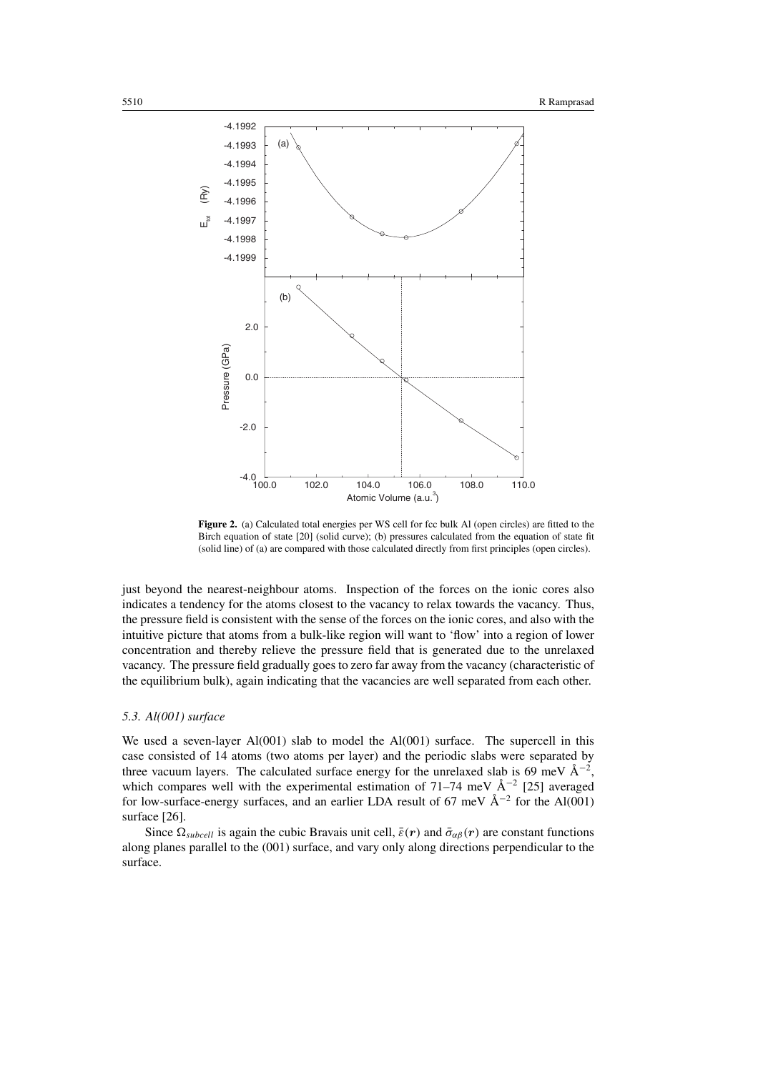

**Figure 2.** (a) Calculated total energies per WS cell for fcc bulk Al (open circles) are fitted to the Birch equation of state [20] (solid curve); (b) pressures calculated from the equation of state fit (solid line) of (a) are compared with those calculated directly from first principles (open circles).

just beyond the nearest-neighbour atoms. Inspection of the forces on the ionic cores also indicates a tendency for the atoms closest to the vacancy to relax towards the vacancy. Thus, the pressure field is consistent with the sense of the forces on the ionic cores, and also with the intuitive picture that atoms from a bulk-like region will want to 'flow' into a region of lower concentration and thereby relieve the pressure field that is generated due to the unrelaxed vacancy. The pressure field gradually goes to zero far away from the vacancy (characteristic of the equilibrium bulk), again indicating that the vacancies are well separated from each other.

### *5.3. Al(001) surface*

We used a seven-layer Al(001) slab to model the Al(001) surface. The supercell in this case consisted of 14 atoms (two atoms per layer) and the periodic slabs were separated by three vacuum layers. The calculated surface energy for the unrelaxed slab is 69 meV  $\AA^{-2}$ , which compares well with the experimental estimation of 71–74 meV  $\rm \AA^{-2}$  [25] averaged for low-surface-energy surfaces, and an earlier LDA result of 67 meV  $\rm \AA^{-2}$  for the Al(001) surface [26].

Since  $\Omega_{subcell}$  is again the cubic Bravais unit cell,  $\bar{\varepsilon}(r)$  and  $\bar{\sigma}_{\alpha\beta}(r)$  are constant functions along planes parallel to the (001) surface, and vary only along directions perpendicular to the surface.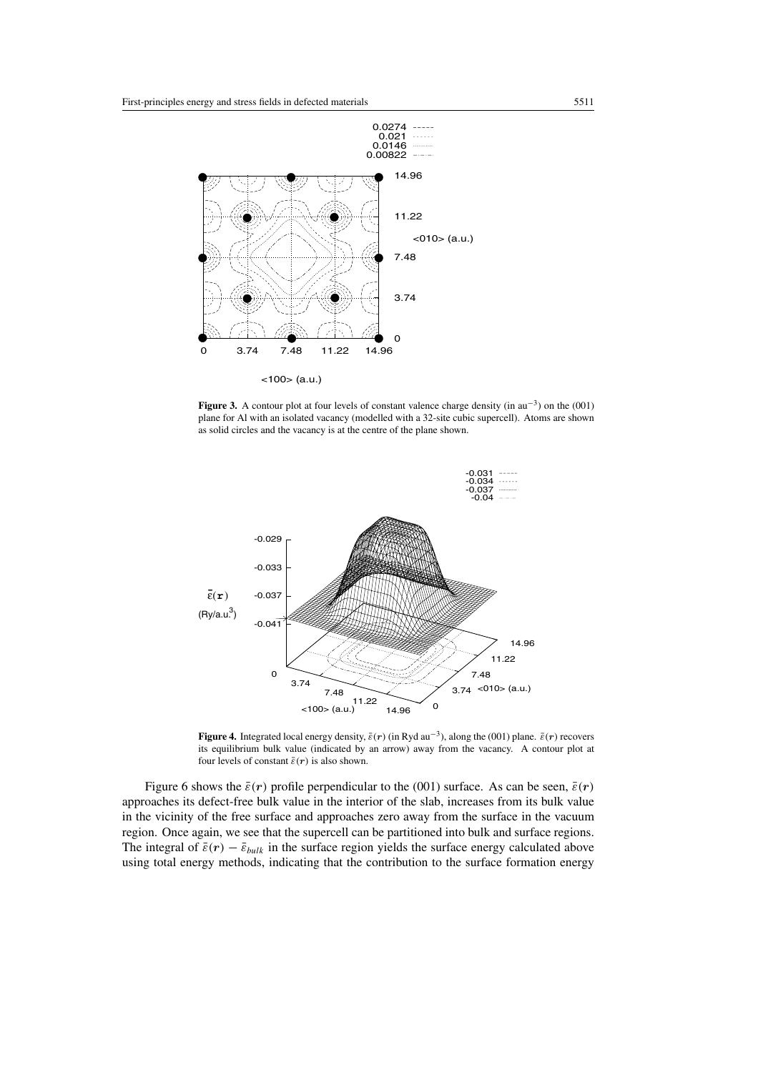

**Figure 3.** A contour plot at four levels of constant valence charge density (in au<sup>−</sup>3) on the (001) plane for Al with an isolated vacancy (modelled with a 32-site cubic supercell). Atoms are shown as solid circles and the vacancy is at the centre of the plane shown.



**Figure 4.** Integrated local energy density,  $\bar{\varepsilon}(r)$  (in Ryd au<sup>-3</sup>), along the (001) plane.  $\bar{\varepsilon}(r)$  recovers its equilibrium bulk value (indicated by an arrow) away from the vacancy. A contour plot at four levels of constant  $\bar{\varepsilon}(r)$  is also shown.

Figure 6 shows the  $\bar{\varepsilon}(r)$  profile perpendicular to the (001) surface. As can be seen,  $\bar{\varepsilon}(r)$ approaches its defect-free bulk value in the interior of the slab, increases from its bulk value in the vicinity of the free surface and approaches zero away from the surface in the vacuum region. Once again, we see that the supercell can be partitioned into bulk and surface regions. The integral of  $\bar{\varepsilon}(r) - \bar{\varepsilon}_{bulk}$  in the surface region yields the surface energy calculated above using total energy methods, indicating that the contribution to the surface formation energy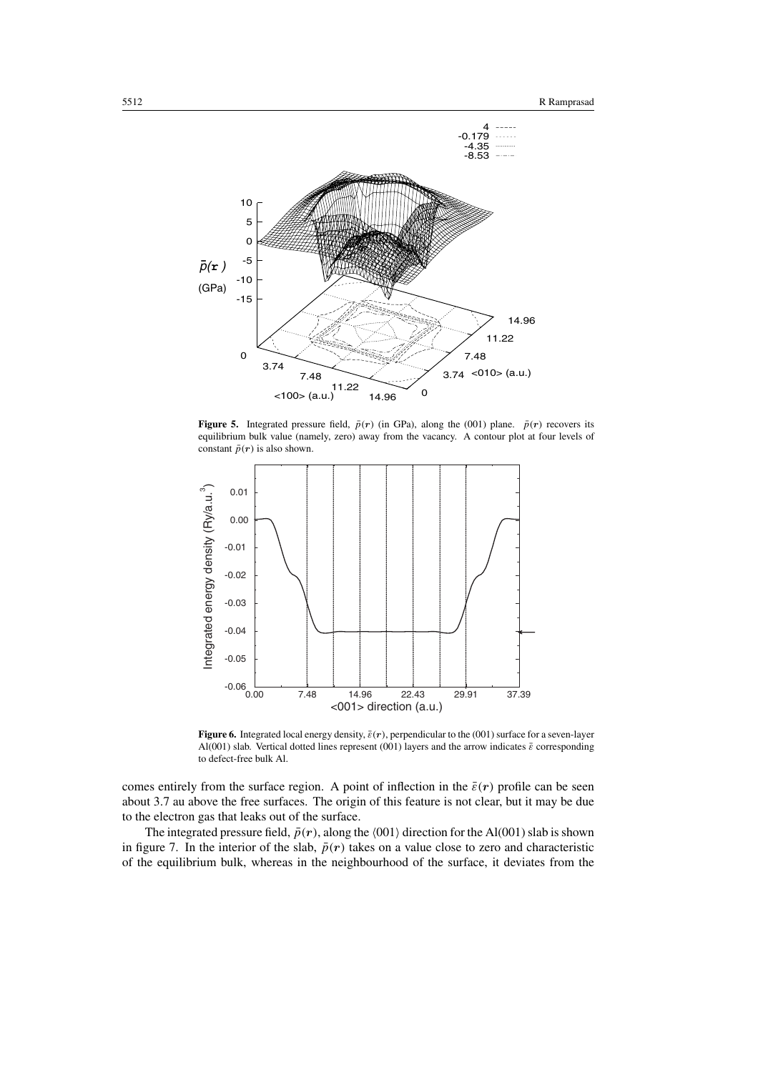

**Figure 5.** Integrated pressure field,  $\bar{p}(r)$  (in GPa), along the (001) plane.  $\bar{p}(r)$  recovers its equilibrium bulk value (namely, zero) away from the vacancy. A contour plot at four levels of constant  $\bar{p}(r)$  is also shown.



**Figure 6.** Integrated local energy density,  $\bar{\varepsilon}(r)$ , perpendicular to the (001) surface for a seven-layer Al(001) slab. Vertical dotted lines represent (001) layers and the arrow indicates *ε*¯ corresponding to defect-free bulk Al.

comes entirely from the surface region. A point of inflection in the  $\bar{\varepsilon}(r)$  profile can be seen about 3.7 au above the free surfaces. The origin of this feature is not clear, but it may be due to the electron gas that leaks out of the surface.

The integrated pressure field,  $\bar{p}(r)$ , along the  $\langle 001 \rangle$  direction for the Al(001) slab is shown in figure 7. In the interior of the slab,  $\bar{p}(r)$  takes on a value close to zero and characteristic of the equilibrium bulk, whereas in the neighbourhood of the surface, it deviates from the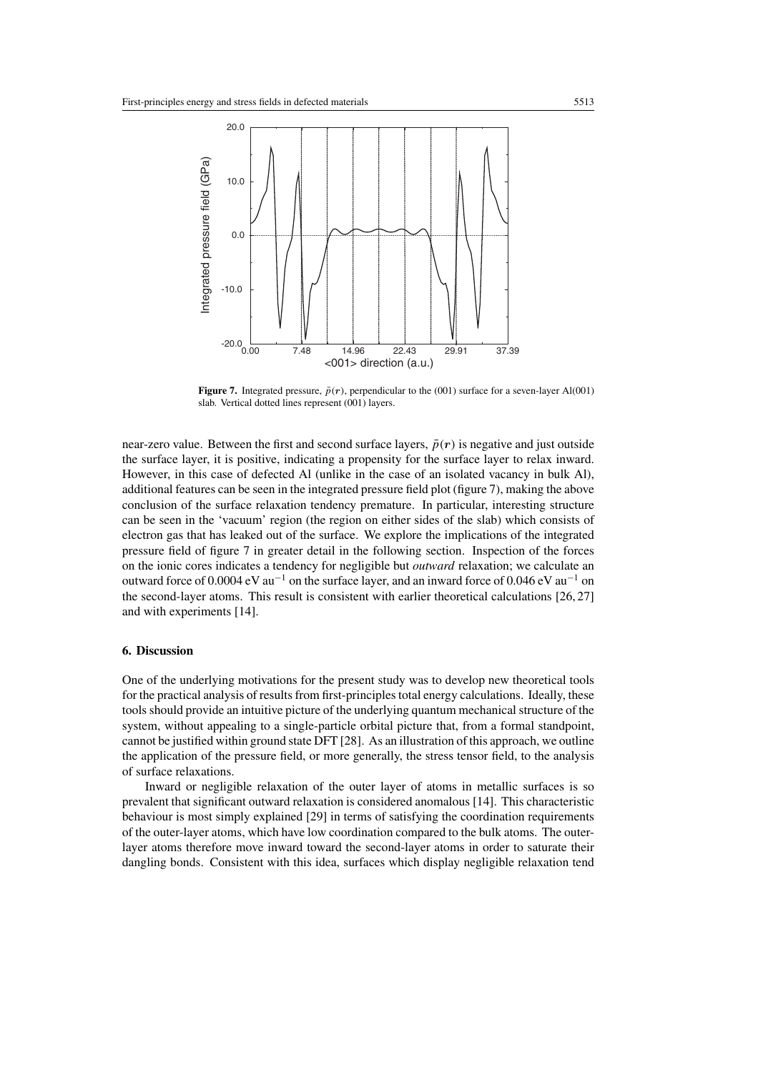

**Figure 7.** Integrated pressure,  $\bar{p}(r)$ , perpendicular to the (001) surface for a seven-layer Al(001) slab. Vertical dotted lines represent (001) layers.

near-zero value. Between the first and second surface layers,  $\bar{p}(r)$  is negative and just outside the surface layer, it is positive, indicating a propensity for the surface layer to relax inward. However, in this case of defected Al (unlike in the case of an isolated vacancy in bulk Al), additional features can be seen in the integrated pressure field plot (figure 7), making the above conclusion of the surface relaxation tendency premature. In particular, interesting structure can be seen in the 'vacuum' region (the region on either sides of the slab) which consists of electron gas that has leaked out of the surface. We explore the implications of the integrated pressure field of figure 7 in greater detail in the following section. Inspection of the forces on the ionic cores indicates a tendency for negligible but *outward* relaxation; we calculate an outward force of 0.0004 eV au<sup>-1</sup> on the surface layer, and an inward force of 0.046 eV au<sup>-1</sup> on the second-layer atoms. This result is consistent with earlier theoretical calculations [26, 27] and with experiments [14].

### **6. Discussion**

One of the underlying motivations for the present study was to develop new theoretical tools for the practical analysis of results from first-principles total energy calculations. Ideally, these tools should provide an intuitive picture of the underlying quantum mechanical structure of the system, without appealing to a single-particle orbital picture that, from a formal standpoint, cannot be justified within ground state DFT [28]. As an illustration of this approach, we outline the application of the pressure field, or more generally, the stress tensor field, to the analysis of surface relaxations.

Inward or negligible relaxation of the outer layer of atoms in metallic surfaces is so prevalent that significant outward relaxation is considered anomalous [14]. This characteristic behaviour is most simply explained [29] in terms of satisfying the coordination requirements of the outer-layer atoms, which have low coordination compared to the bulk atoms. The outerlayer atoms therefore move inward toward the second-layer atoms in order to saturate their dangling bonds. Consistent with this idea, surfaces which display negligible relaxation tend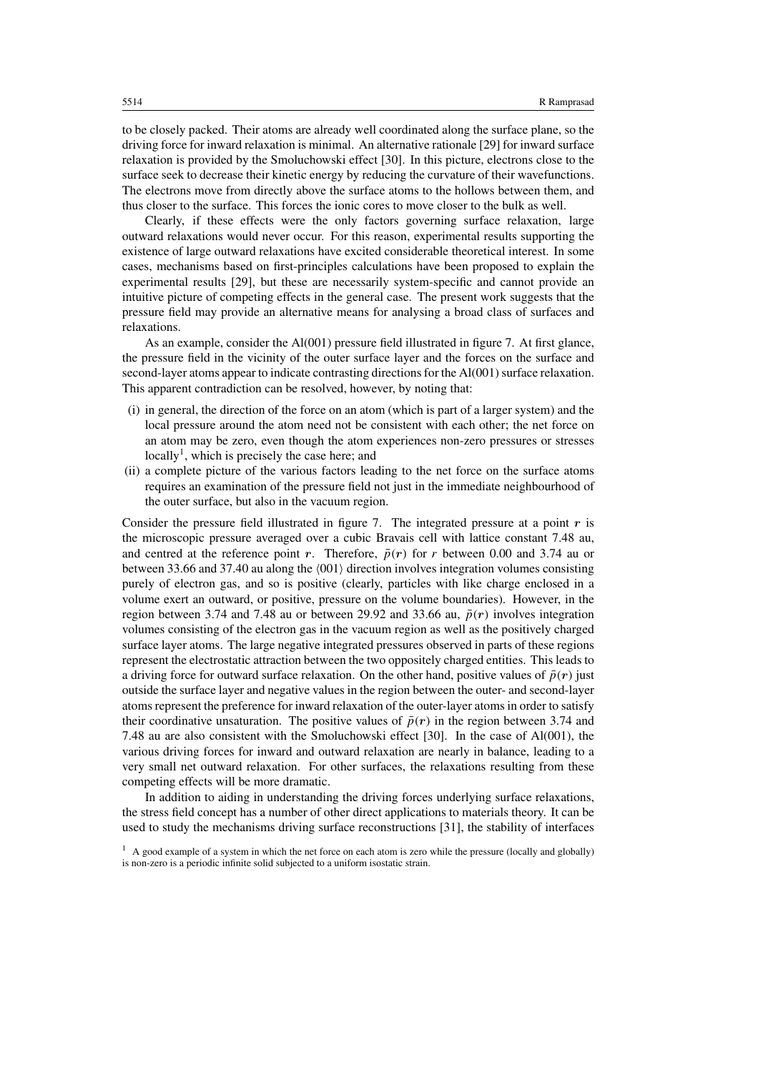to be closely packed. Their atoms are already well coordinated along the surface plane, so the driving force for inward relaxation is minimal. An alternative rationale [29] for inward surface relaxation is provided by the Smoluchowski effect [30]. In this picture, electrons close to the surface seek to decrease their kinetic energy by reducing the curvature of their wavefunctions. The electrons move from directly above the surface atoms to the hollows between them, and thus closer to the surface. This forces the ionic cores to move closer to the bulk as well.

Clearly, if these effects were the only factors governing surface relaxation, large outward relaxations would never occur. For this reason, experimental results supporting the existence of large outward relaxations have excited considerable theoretical interest. In some cases, mechanisms based on first-principles calculations have been proposed to explain the experimental results [29], but these are necessarily system-specific and cannot provide an intuitive picture of competing effects in the general case. The present work suggests that the pressure field may provide an alternative means for analysing a broad class of surfaces and relaxations.

As an example, consider the Al(001) pressure field illustrated in figure 7. At first glance, the pressure field in the vicinity of the outer surface layer and the forces on the surface and second-layer atoms appear to indicate contrasting directions for the Al(001) surface relaxation. This apparent contradiction can be resolved, however, by noting that:

- (i) in general, the direction of the force on an atom (which is part of a larger system) and the local pressure around the atom need not be consistent with each other; the net force on an atom may be zero, even though the atom experiences non-zero pressures or stresses  $locally<sup>1</sup>$ , which is precisely the case here; and
- (ii) a complete picture of the various factors leading to the net force on the surface atoms requires an examination of the pressure field not just in the immediate neighbourhood of the outer surface, but also in the vacuum region.

Consider the pressure field illustrated in figure 7. The integrated pressure at a point *r* is the microscopic pressure averaged over a cubic Bravais cell with lattice constant 7.48 au, and centred at the reference point *r*. Therefore,  $\bar{p}(r)$  for *r* between 0.00 and 3.74 au or between 33.66 and 37.40 au along the  $\langle 001 \rangle$  direction involves integration volumes consisting purely of electron gas, and so is positive (clearly, particles with like charge enclosed in a volume exert an outward, or positive, pressure on the volume boundaries). However, in the region between 3.74 and 7.48 au or between 29.92 and 33.66 au,  $\bar{p}(r)$  involves integration volumes consisting of the electron gas in the vacuum region as well as the positively charged surface layer atoms. The large negative integrated pressures observed in parts of these regions represent the electrostatic attraction between the two oppositely charged entities. This leads to a driving force for outward surface relaxation. On the other hand, positive values of  $\bar{p}(r)$  just outside the surface layer and negative values in the region between the outer- and second-layer atoms represent the preference for inward relaxation of the outer-layer atoms in order to satisfy their coordinative unsaturation. The positive values of  $\bar{p}(r)$  in the region between 3.74 and 7.48 au are also consistent with the Smoluchowski effect [30]. In the case of Al(001), the various driving forces for inward and outward relaxation are nearly in balance, leading to a very small net outward relaxation. For other surfaces, the relaxations resulting from these competing effects will be more dramatic.

In addition to aiding in understanding the driving forces underlying surface relaxations, the stress field concept has a number of other direct applications to materials theory. It can be used to study the mechanisms driving surface reconstructions [31], the stability of interfaces

 $<sup>1</sup>$  A good example of a system in which the net force on each atom is zero while the pressure (locally and globally)</sup> is non-zero is a periodic infinite solid subjected to a uniform isostatic strain.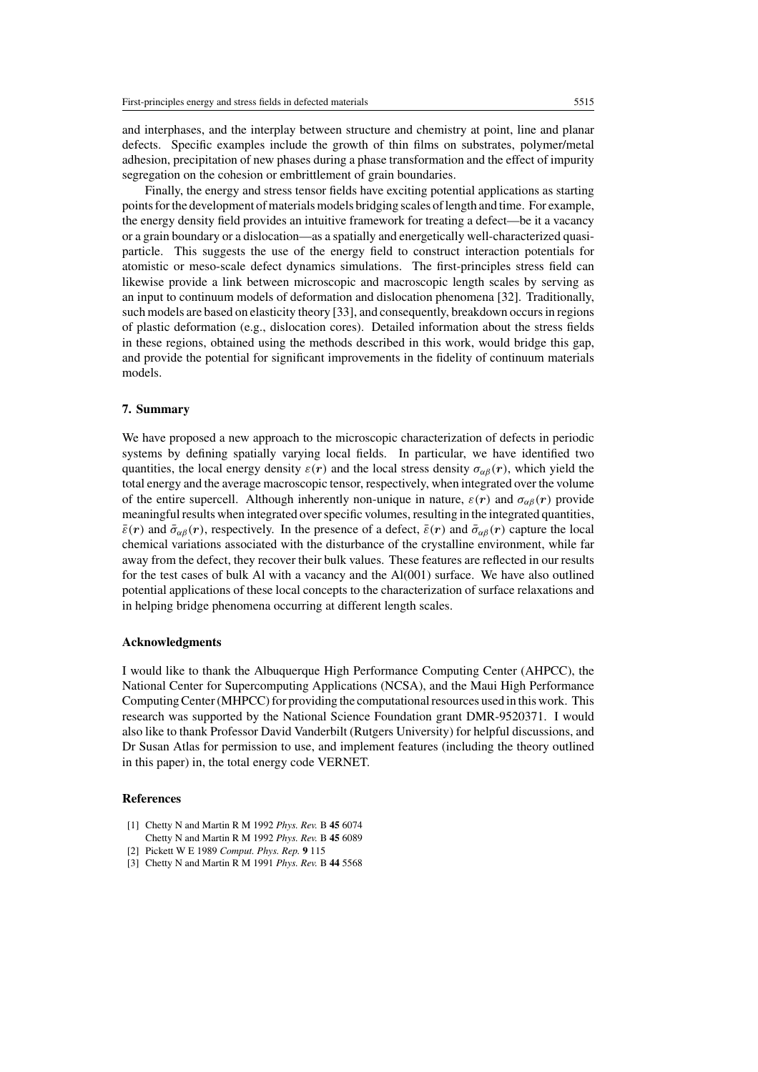and interphases, and the interplay between structure and chemistry at point, line and planar defects. Specific examples include the growth of thin films on substrates, polymer/metal adhesion, precipitation of new phases during a phase transformation and the effect of impurity segregation on the cohesion or embrittlement of grain boundaries.

Finally, the energy and stress tensor fields have exciting potential applications as starting points for the development of materials models bridging scales of length and time. For example, the energy density field provides an intuitive framework for treating a defect—be it a vacancy or a grain boundary or a dislocation—as a spatially and energetically well-characterized quasiparticle. This suggests the use of the energy field to construct interaction potentials for atomistic or meso-scale defect dynamics simulations. The first-principles stress field can likewise provide a link between microscopic and macroscopic length scales by serving as an input to continuum models of deformation and dislocation phenomena [32]. Traditionally, such models are based on elasticity theory [33], and consequently, breakdown occurs in regions of plastic deformation (e.g., dislocation cores). Detailed information about the stress fields in these regions, obtained using the methods described in this work, would bridge this gap, and provide the potential for significant improvements in the fidelity of continuum materials models.

# **7. Summary**

We have proposed a new approach to the microscopic characterization of defects in periodic systems by defining spatially varying local fields. In particular, we have identified two quantities, the local energy density  $\varepsilon(r)$  and the local stress density  $\sigma_{\alpha\beta}(r)$ , which yield the total energy and the average macroscopic tensor, respectively, when integrated over the volume of the entire supercell. Although inherently non-unique in nature,  $\varepsilon(r)$  and  $\sigma_{\alpha\beta}(r)$  provide meaningful results when integrated over specific volumes, resulting in the integrated quantities,  $\bar{\varepsilon}(r)$  and  $\bar{\sigma}_{\alpha\beta}(r)$ , respectively. In the presence of a defect,  $\bar{\varepsilon}(r)$  and  $\bar{\sigma}_{\alpha\beta}(r)$  capture the local chemical variations associated with the disturbance of the crystalline environment, while far away from the defect, they recover their bulk values. These features are reflected in our results for the test cases of bulk Al with a vacancy and the Al(001) surface. We have also outlined potential applications of these local concepts to the characterization of surface relaxations and in helping bridge phenomena occurring at different length scales.

# **Acknowledgments**

I would like to thank the Albuquerque High Performance Computing Center (AHPCC), the National Center for Supercomputing Applications (NCSA), and the Maui High Performance Computing Center (MHPCC) for providing the computational resources used in this work. This research was supported by the National Science Foundation grant DMR-9520371. I would also like to thank Professor David Vanderbilt (Rutgers University) for helpful discussions, and Dr Susan Atlas for permission to use, and implement features (including the theory outlined in this paper) in, the total energy code VERNET.

### **References**

- [1] Chetty N and Martin R M 1992 *Phys. Rev.* B **45** 6074 Chetty N and Martin R M 1992 *Phys. Rev.* B **45** 6089
- [2] Pickett W E 1989 *Comput. Phys. Rep.* **9** 115
- [3] Chetty N and Martin R M 1991 *Phys. Rev.* B **44** 5568